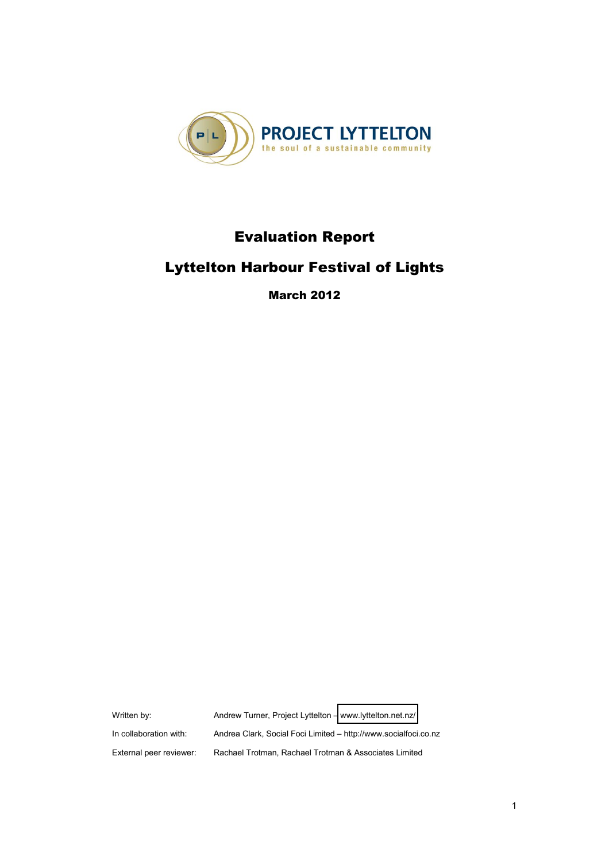

# **Evaluation Report**

# **Lyttelton Harbour Festival of Lights**

**March 2012** 

Written by: Andrew Turner, Project Lyttelton - [www.lyttelton.net.nz/](http://www.lyttelton.net.nz/) In collaboration with: Andrea Clark, Social Foci Limited - http://www.socialfoci.co.nz External peer reviewer: Rachael Trotman, Rachael Trotman & Associates Limited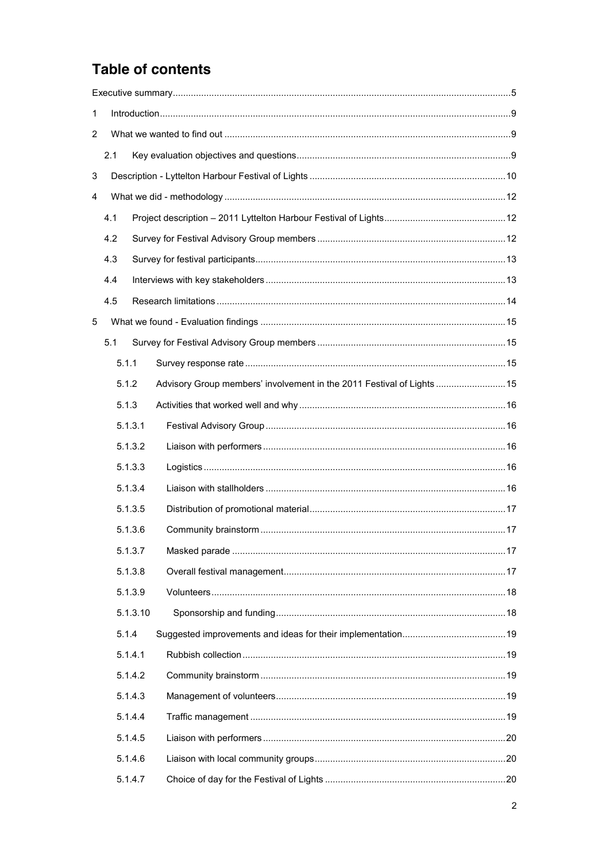# Table of contents

| 1              |       |          |                                                                        |  |  |  |  |
|----------------|-------|----------|------------------------------------------------------------------------|--|--|--|--|
| $\overline{2}$ |       |          |                                                                        |  |  |  |  |
|                | 2.1   |          |                                                                        |  |  |  |  |
| 3              |       |          |                                                                        |  |  |  |  |
| 4              |       |          |                                                                        |  |  |  |  |
|                | 4.1   |          |                                                                        |  |  |  |  |
|                | 4.2   |          |                                                                        |  |  |  |  |
|                | 4.3   |          |                                                                        |  |  |  |  |
|                | 4.4   |          |                                                                        |  |  |  |  |
|                | 4.5   |          |                                                                        |  |  |  |  |
| 5              |       |          |                                                                        |  |  |  |  |
|                | 5.1   |          |                                                                        |  |  |  |  |
|                | 5.1.1 |          |                                                                        |  |  |  |  |
|                | 5.1.2 |          | Advisory Group members' involvement in the 2011 Festival of Lights  15 |  |  |  |  |
|                | 5.1.3 |          |                                                                        |  |  |  |  |
|                |       | 5.1.3.1  |                                                                        |  |  |  |  |
|                |       | 5.1.3.2  |                                                                        |  |  |  |  |
|                |       | 5.1.3.3  |                                                                        |  |  |  |  |
|                |       | 5.1.3.4  |                                                                        |  |  |  |  |
|                |       | 5.1.3.5  |                                                                        |  |  |  |  |
|                |       | 5.1.3.6  |                                                                        |  |  |  |  |
|                |       | 5.1.3.7  |                                                                        |  |  |  |  |
|                |       | 5.1.3.8  |                                                                        |  |  |  |  |
|                |       | 5.1.3.9  |                                                                        |  |  |  |  |
|                |       | 5.1.3.10 |                                                                        |  |  |  |  |
|                | 5.1.4 |          |                                                                        |  |  |  |  |
|                |       | 5.1.4.1  |                                                                        |  |  |  |  |
|                |       | 5.1.4.2  |                                                                        |  |  |  |  |
|                |       | 5.1.4.3  |                                                                        |  |  |  |  |
|                |       | 5.1.4.4  |                                                                        |  |  |  |  |
|                |       | 5.1.4.5  |                                                                        |  |  |  |  |
|                |       | 5.1.4.6  |                                                                        |  |  |  |  |
|                |       | 5.1.4.7  |                                                                        |  |  |  |  |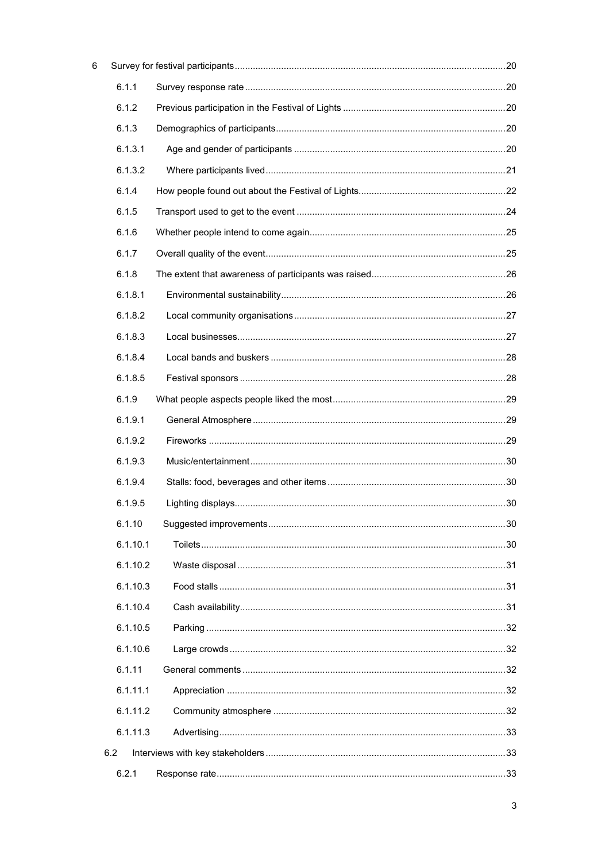|     | 6.1.1    |  |
|-----|----------|--|
|     | 6.1.2    |  |
|     | 6.1.3    |  |
|     | 6.1.3.1  |  |
|     | 6.1.3.2  |  |
|     | 6.1.4    |  |
|     | 6.1.5    |  |
|     | 6.1.6    |  |
|     | 6.1.7    |  |
|     | 6.1.8    |  |
|     | 6.1.8.1  |  |
|     | 6.1.8.2  |  |
|     | 6.1.8.3  |  |
|     | 6.1.8.4  |  |
|     | 6.1.8.5  |  |
|     | 6.1.9    |  |
|     | 6.1.9.1  |  |
|     | 6.1.9.2  |  |
|     | 6.1.9.3  |  |
|     | 6.1.9.4  |  |
|     | 6.1.9.5  |  |
|     | 6.1.10   |  |
|     | 6.1.10.1 |  |
|     | 6.1.10.2 |  |
|     | 6.1.10.3 |  |
|     | 6.1.10.4 |  |
|     | 6.1.10.5 |  |
|     | 6.1.10.6 |  |
|     | 6.1.11   |  |
|     | 6.1.11.1 |  |
|     | 6.1.11.2 |  |
|     | 6.1.11.3 |  |
| 6.2 |          |  |
|     | 6.2.1    |  |

 $\overline{6}$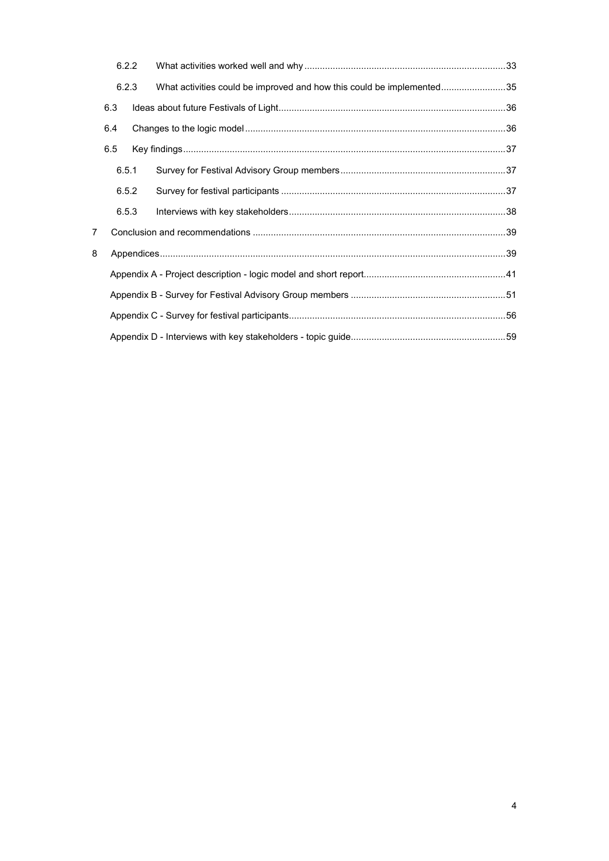|   | 6.2.2 |  |                                                                       |  |
|---|-------|--|-----------------------------------------------------------------------|--|
|   | 6.2.3 |  | What activities could be improved and how this could be implemented35 |  |
|   | 6.3   |  |                                                                       |  |
|   | 6.4   |  |                                                                       |  |
|   | 6.5   |  |                                                                       |  |
|   | 6.5.1 |  |                                                                       |  |
|   | 6.5.2 |  |                                                                       |  |
|   | 6.5.3 |  |                                                                       |  |
| 7 |       |  |                                                                       |  |
| 8 |       |  |                                                                       |  |
|   |       |  |                                                                       |  |
|   |       |  |                                                                       |  |
|   |       |  |                                                                       |  |
|   |       |  |                                                                       |  |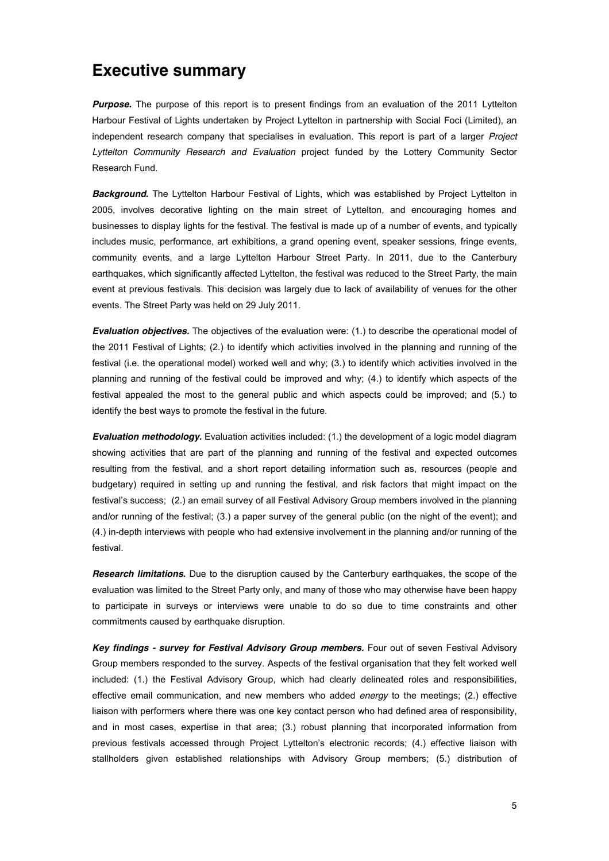## **Executive summary**

**Purpose.** The purpose of this report is to present findings from an evaluation of the 2011 Lyttelton Harbour Festival of Lights undertaken by Project Lyttelton in partnership with Social Foci (Limited), an independent research company that specialises in evaluation. This report is part of a larger *Project Lyttelton Community Research and Evaluation* project funded by the Lottery Community Sector Research Fund.

*Background.* The Lyttelton Harbour Festival of Lights, which was established by Project Lyttelton in 2005, involves decorative lighting on the main street of Lyttelton, and encouraging homes and businesses to display lights for the festival. The festival is made up of a number of events, and typically includes music, performance, art exhibitions, a grand opening event, speaker sessions, fringe events, community events, and a large Lyttelton Harbour Street Party. In 2011, due to the Canterbury earthquakes, which significantly affected Lyttelton, the festival was reduced to the Street Party, the main event at previous festivals. This decision was largely due to lack of availability of venues for the other events. The Street Party was held on 29 July 2011.

*Evaluation objectives.* The objectives of the evaluation were: (1.) to describe the operational model of the 2011 Festival of Lights; (2.) to identify which activities involved in the planning and running of the festival (i.e. the operational model) worked well and why; (3.) to identify which activities involved in the planning and running of the festival could be improved and why; (4.) to identify which aspects of the festival appealed the most to the general public and which aspects could be improved; and (5.) to identify the best ways to promote the festival in the future.

*Evaluation methodology.* Evaluation activities included: (1.) the development of a logic model diagram showing activities that are part of the planning and running of the festival and expected outcomes resulting from the festival, and a short report detailing information such as, resources (people and budgetary) required in setting up and running the festival, and risk factors that might impact on the festival's success; (2.) an email survey of all Festival Advisory Group members involved in the planning and/or running of the festival; (3.) a paper survey of the general public (on the night of the event); and (4.) in-depth interviews with people who had extensive involvement in the planning and/or running of the festival.

*Research limitations***.** Due to the disruption caused by the Canterbury earthquakes, the scope of the evaluation was limited to the Street Party only, and many of those who may otherwise have been happy to participate in surveys or interviews were unable to do so due to time constraints and other commitments caused by earthquake disruption.

*Key findings - survey for Festival Advisory Group members.* Four out of seven Festival Advisory Group members responded to the survey. Aspects of the festival organisation that they felt worked well included: (1.) the Festival Advisory Group, which had clearly delineated roles and responsibilities, effective email communication, and new members who added *energy* to the meetings; (2.) effective liaison with performers where there was one key contact person who had defined area of responsibility, and in most cases, expertise in that area; (3.) robust planning that incorporated information from previous festivals accessed through Project Lyttelton's electronic records; (4.) effective liaison with stallholders given established relationships with Advisory Group members; (5.) distribution of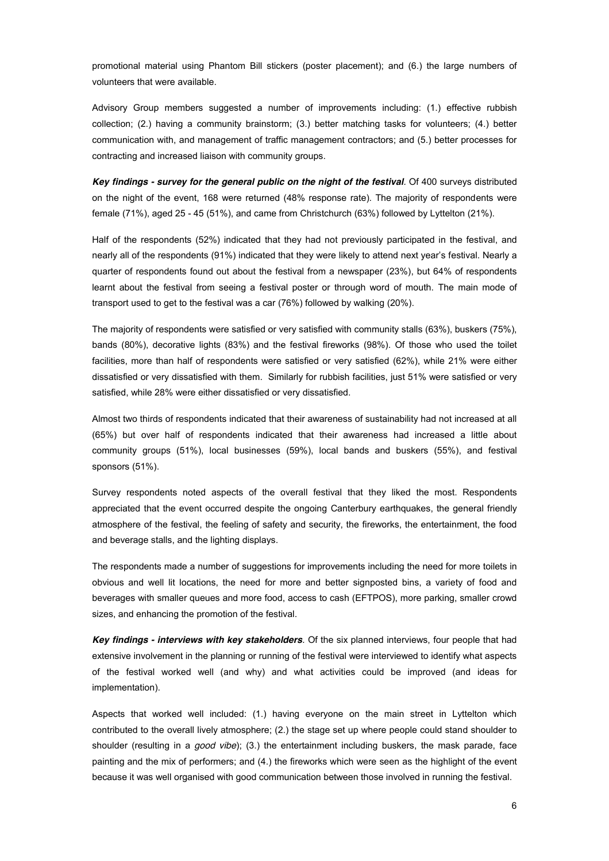promotional material using Phantom Bill stickers (poster placement); and (6.) the large numbers of volunteers that were available.

Advisory Group members suggested a number of improvements including: (1.) effective rubbish collection; (2.) having a community brainstorm; (3.) better matching tasks for volunteers; (4.) better communication with, and management of traffic management contractors; and (5.) better processes for contracting and increased liaison with community groups.

*Key findings - survey for the general public on the night of the festival.* Of 400 surveys distributed on the night of the event, 168 were returned (48% response rate). The majority of respondents were female (71%), aged 25 - 45 (51%), and came from Christchurch (63%) followed by Lyttelton (21%).

Half of the respondents (52%) indicated that they had not previously participated in the festival, and nearly all of the respondents (91%) indicated that they were likely to attend next year's festival. Nearly a quarter of respondents found out about the festival from a newspaper (23%), but 64% of respondents learnt about the festival from seeing a festival poster or through word of mouth. The main mode of transport used to get to the festival was a car (76%) followed by walking (20%).

The majority of respondents were satisfied or very satisfied with community stalls (63%), buskers (75%), bands (80%), decorative lights (83%) and the festival fireworks (98%). Of those who used the toilet facilities, more than half of respondents were satisfied or very satisfied (62%), while 21% were either dissatisfied or very dissatisfied with them. Similarly for rubbish facilities, just 51% were satisfied or very satisfied, while 28% were either dissatisfied or very dissatisfied.

Almost two thirds of respondents indicated that their awareness of sustainability had not increased at all (65%) but over half of respondents indicated that their awareness had increased a little about community groups (51%), local businesses (59%), local bands and buskers (55%), and festival sponsors (51%).

Survey respondents noted aspects of the overall festival that they liked the most. Respondents appreciated that the event occurred despite the ongoing Canterbury earthquakes, the general friendly atmosphere of the festival, the feeling of safety and security, the fireworks, the entertainment, the food and beverage stalls, and the lighting displays.

The respondents made a number of suggestions for improvements including the need for more toilets in obvious and well lit locations, the need for more and better signposted bins, a variety of food and beverages with smaller queues and more food, access to cash (EFTPOS), more parking, smaller crowd sizes, and enhancing the promotion of the festival.

*Key findings - interviews with key stakeholders.* Of the six planned interviews, four people that had extensive involvement in the planning or running of the festival were interviewed to identify what aspects of the festival worked well (and why) and what activities could be improved (and ideas for implementation).

Aspects that worked well included: (1.) having everyone on the main street in Lyttelton which contributed to the overall lively atmosphere; (2.) the stage set up where people could stand shoulder to shoulder (resulting in a *good vibe*); (3.) the entertainment including buskers, the mask parade, face painting and the mix of performers; and (4.) the fireworks which were seen as the highlight of the event because it was well organised with good communication between those involved in running the festival.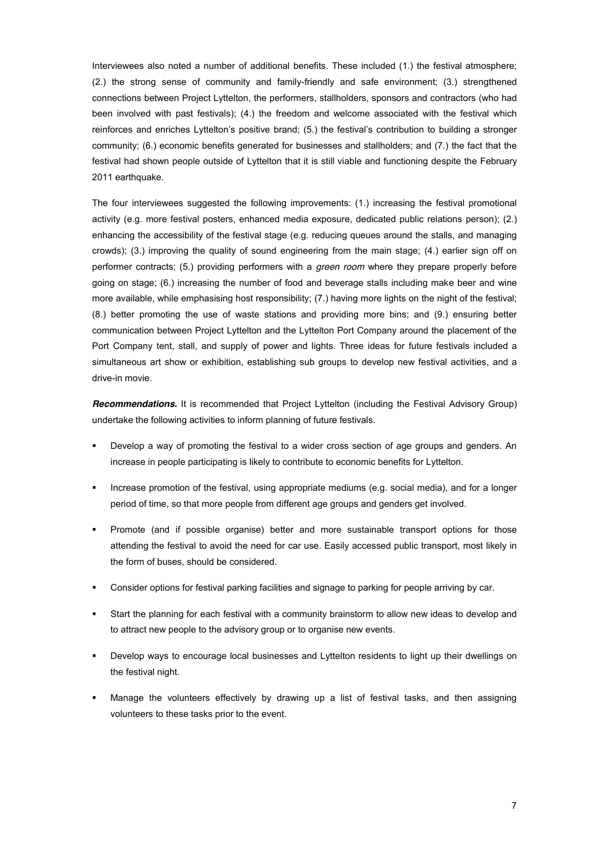Interviewees also noted a number of additional benefits. These included (1.) the festival atmosphere; (2.) the strong sense of community and family-friendly and safe environment; (3.) strengthened connections between Project Lyttelton, the performers, stallholders, sponsors and contractors (who had been involved with past festivals); (4.) the freedom and welcome associated with the festival which reinforces and enriches Lyttelton's positive brand; (5.) the festival's contribution to building a stronger community; (6.) economic benefits generated for businesses and stallholders; and (7.) the fact that the festival had shown people outside of Lyttelton that it is still viable and functioning despite the February 2011 earthquake.

The four interviewees suggested the following improvements: (1.) increasing the festival promotional activity (e.g. more festival posters, enhanced media exposure, dedicated public relations person); (2.) enhancing the accessibility of the festival stage (e.g. reducing queues around the stalls, and managing crowds); (3.) improving the quality of sound engineering from the main stage; (4.) earlier sign off on performer contracts; (5.) providing performers with a *green room* where they prepare properly before going on stage; (6.) increasing the number of food and beverage stalls including make beer and wine more available, while emphasising host responsibility; (7.) having more lights on the night of the festival; (8.) better promoting the use of waste stations and providing more bins; and (9.) ensuring better communication between Project Lyttelton and the Lyttelton Port Company around the placement of the Port Company tent, stall, and supply of power and lights. Three ideas for future festivals included a simultaneous art show or exhibition, establishing sub groups to develop new festival activities, and a drive-in movie.

*Recommendations.* It is recommended that Project Lyttelton (including the Festival Advisory Group) undertake the following activities to inform planning of future festivals.

- Develop a way of promoting the festival to a wider cross section of age groups and genders. An increase in people participating is likely to contribute to economic benefits for Lyttelton.
- ! Increase promotion of the festival, using appropriate mediums (e.g. social media), and for a longer period of time, so that more people from different age groups and genders get involved.
- Promote (and if possible organise) better and more sustainable transport options for those attending the festival to avoid the need for car use. Easily accessed public transport, most likely in the form of buses, should be considered.
- ! Consider options for festival parking facilities and signage to parking for people arriving by car.
- Start the planning for each festival with a community brainstorm to allow new ideas to develop and to attract new people to the advisory group or to organise new events.
- Develop ways to encourage local businesses and Lyttelton residents to light up their dwellings on the festival night.
- Manage the volunteers effectively by drawing up a list of festival tasks, and then assigning volunteers to these tasks prior to the event.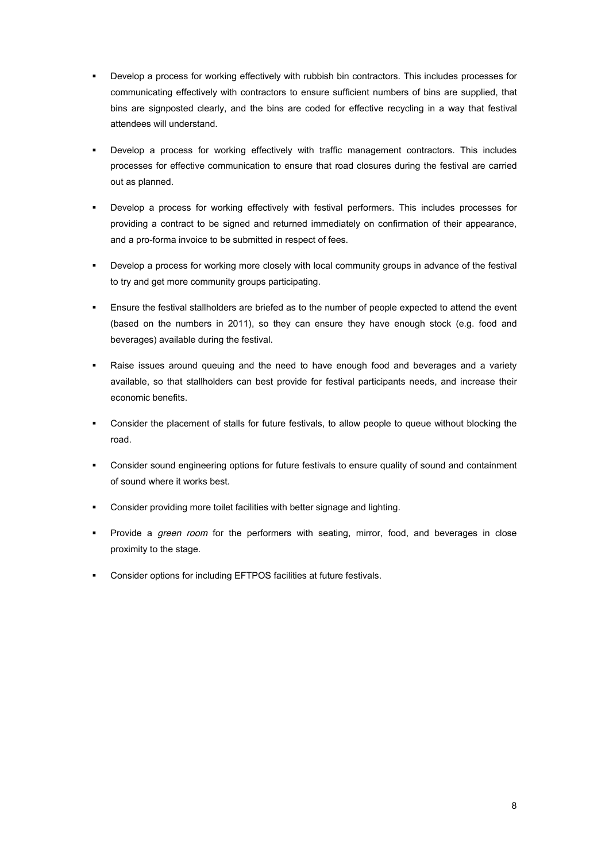- ! Develop a process for working effectively with rubbish bin contractors. This includes processes for communicating effectively with contractors to ensure sufficient numbers of bins are supplied, that bins are signposted clearly, and the bins are coded for effective recycling in a way that festival attendees will understand.
- ! Develop a process for working effectively with traffic management contractors. This includes processes for effective communication to ensure that road closures during the festival are carried out as planned.
- ! Develop a process for working effectively with festival performers. This includes processes for providing a contract to be signed and returned immediately on confirmation of their appearance, and a pro-forma invoice to be submitted in respect of fees.
- ! Develop a process for working more closely with local community groups in advance of the festival to try and get more community groups participating.
- ! Ensure the festival stallholders are briefed as to the number of people expected to attend the event (based on the numbers in 2011), so they can ensure they have enough stock (e.g. food and beverages) available during the festival.
- ! Raise issues around queuing and the need to have enough food and beverages and a variety available, so that stallholders can best provide for festival participants needs, and increase their economic benefits.
- Consider the placement of stalls for future festivals, to allow people to queue without blocking the road.
- ! Consider sound engineering options for future festivals to ensure quality of sound and containment of sound where it works best.
- ! Consider providing more toilet facilities with better signage and lighting.
- ! Provide a *green room* for the performers with seating, mirror, food, and beverages in close proximity to the stage.
- ! Consider options for including EFTPOS facilities at future festivals.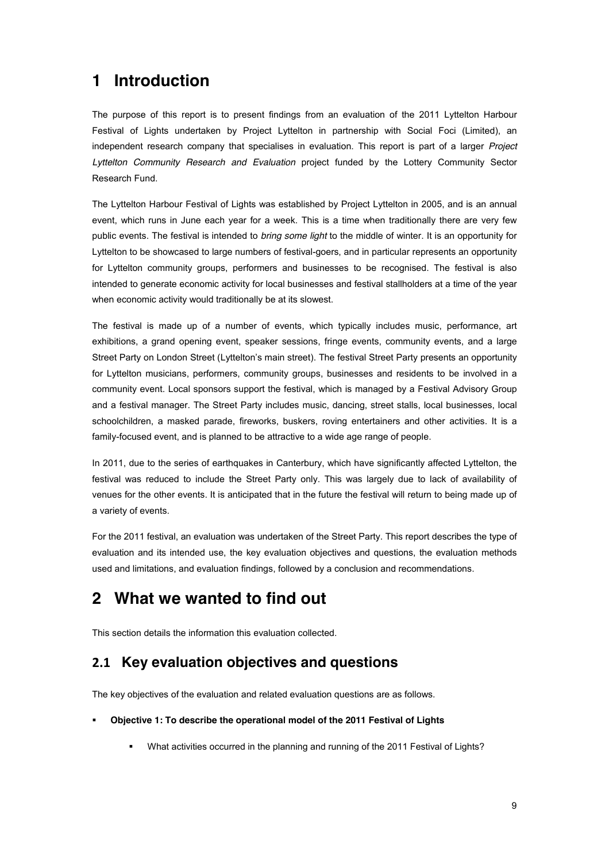# **1 Introduction**

The purpose of this report is to present findings from an evaluation of the 2011 Lyttelton Harbour Festival of Lights undertaken by Project Lyttelton in partnership with Social Foci (Limited), an independent research company that specialises in evaluation. This report is part of a larger *Project Lyttelton Community Research and Evaluation* project funded by the Lottery Community Sector Research Fund.

The Lyttelton Harbour Festival of Lights was established by Project Lyttelton in 2005, and is an annual event, which runs in June each year for a week. This is a time when traditionally there are very few public events. The festival is intended to *bring some light* to the middle of winter. It is an opportunity for Lyttelton to be showcased to large numbers of festival-goers, and in particular represents an opportunity for Lyttelton community groups, performers and businesses to be recognised. The festival is also intended to generate economic activity for local businesses and festival stallholders at a time of the year when economic activity would traditionally be at its slowest.

The festival is made up of a number of events, which typically includes music, performance, art exhibitions, a grand opening event, speaker sessions, fringe events, community events, and a large Street Party on London Street (Lyttelton's main street). The festival Street Party presents an opportunity for Lyttelton musicians, performers, community groups, businesses and residents to be involved in a community event. Local sponsors support the festival, which is managed by a Festival Advisory Group and a festival manager. The Street Party includes music, dancing, street stalls, local businesses, local schoolchildren, a masked parade, fireworks, buskers, roving entertainers and other activities. It is a family-focused event, and is planned to be attractive to a wide age range of people.

In 2011, due to the series of earthquakes in Canterbury, which have significantly affected Lyttelton, the festival was reduced to include the Street Party only. This was largely due to lack of availability of venues for the other events. It is anticipated that in the future the festival will return to being made up of a variety of events.

For the 2011 festival, an evaluation was undertaken of the Street Party. This report describes the type of evaluation and its intended use, the key evaluation objectives and questions, the evaluation methods used and limitations, and evaluation findings, followed by a conclusion and recommendations.

# **2 What we wanted to find out**

This section details the information this evaluation collected.

## **!"# Key evaluation objectives and questions**

The key objectives of the evaluation and related evaluation questions are as follows.

#### ! **Objective 1: To describe the operational model of the 2011 Festival of Lights**

! What activities occurred in the planning and running of the 2011 Festival of Lights?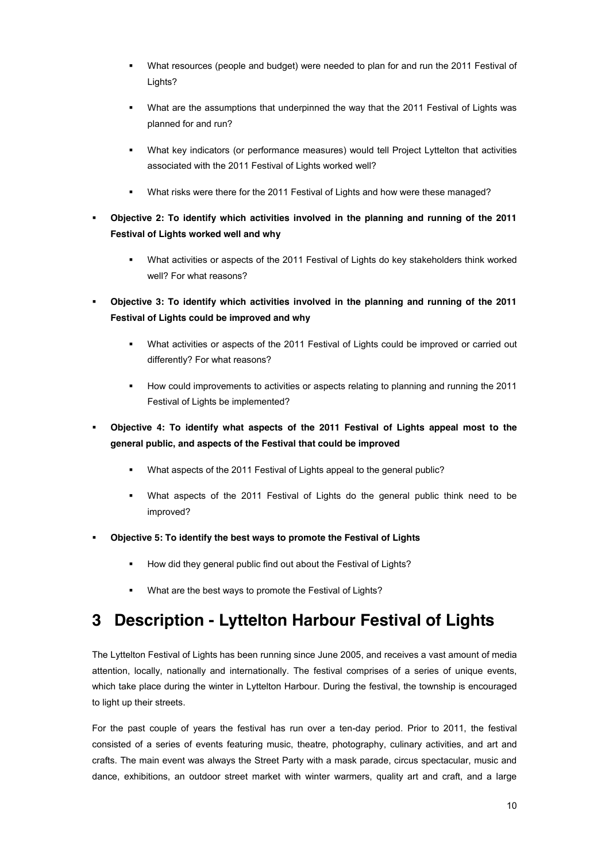- ! What resources (people and budget) were needed to plan for and run the 2011 Festival of Lights?
- What are the assumptions that underpinned the way that the 2011 Festival of Lights was planned for and run?
- ! What key indicators (or performance measures) would tell Project Lyttelton that activities associated with the 2011 Festival of Lights worked well?
- ! What risks were there for the 2011 Festival of Lights and how were these managed?
- ! **Objective 2: To identify which activities involved in the planning and running of the 2011 Festival of Lights worked well and why**
	- ! What activities or aspects of the 2011 Festival of Lights do key stakeholders think worked well? For what reasons?
- ! **Objective 3: To identify which activities involved in the planning and running of the 2011 Festival of Lights could be improved and why**
	- ! What activities or aspects of the 2011 Festival of Lights could be improved or carried out differently? For what reasons?
	- ! How could improvements to activities or aspects relating to planning and running the 2011 Festival of Lights be implemented?
- ! **Objective 4: To identify what aspects of the 2011 Festival of Lights appeal most to the general public, and aspects of the Festival that could be improved**
	- ! What aspects of the 2011 Festival of Lights appeal to the general public?
	- ! What aspects of the 2011 Festival of Lights do the general public think need to be improved?
- ! **Objective 5: To identify the best ways to promote the Festival of Lights**
	- ! How did they general public find out about the Festival of Lights?
	- ! What are the best ways to promote the Festival of Lights?

# **3 Description - Lyttelton Harbour Festival of Lights**

The Lyttelton Festival of Lights has been running since June 2005, and receives a vast amount of media attention, locally, nationally and internationally. The festival comprises of a series of unique events, which take place during the winter in Lyttelton Harbour. During the festival, the township is encouraged to light up their streets.

For the past couple of years the festival has run over a ten-day period. Prior to 2011, the festival consisted of a series of events featuring music, theatre, photography, culinary activities, and art and crafts. The main event was always the Street Party with a mask parade, circus spectacular, music and dance, exhibitions, an outdoor street market with winter warmers, quality art and craft, and a large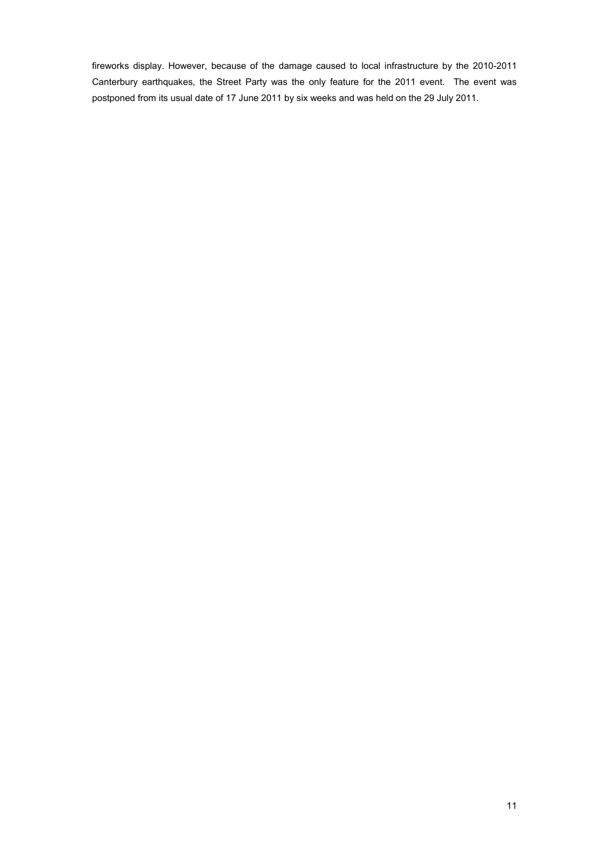fireworks display. However, because of the damage caused to local infrastructure by the 2010-2011 Canterbury earthquakes, the Street Party was the only feature for the 2011 event. The event was postponed from its usual date of 17 June 2011 by six weeks and was held on the 29 July 2011.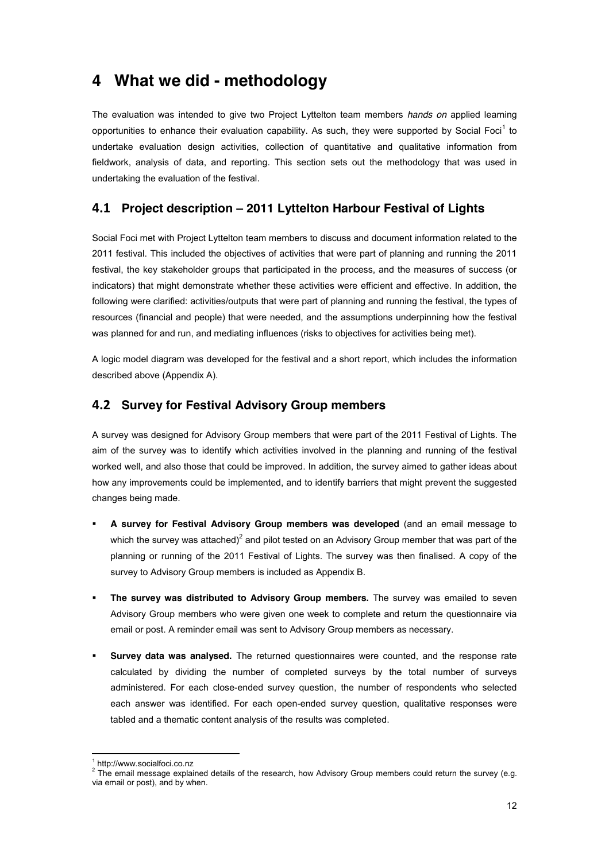## **4 What we did - methodology**

The evaluation was intended to give two Project Lyttelton team members *hands on* applied learning opportunities to enhance their evaluation capability. As such, they were supported by Social Foci<sup>1</sup> to undertake evaluation design activities, collection of quantitative and qualitative information from fieldwork, analysis of data, and reporting. This section sets out the methodology that was used in undertaking the evaluation of the festival.

## **\$"# Project description ! 2011 Lyttelton Harbour Festival of Lights**

Social Foci met with Project Lyttelton team members to discuss and document information related to the 2011 festival. This included the objectives of activities that were part of planning and running the 2011 festival, the key stakeholder groups that participated in the process, and the measures of success (or indicators) that might demonstrate whether these activities were efficient and effective. In addition, the following were clarified: activities/outputs that were part of planning and running the festival, the types of resources (financial and people) that were needed, and the assumptions underpinning how the festival was planned for and run, and mediating influences (risks to objectives for activities being met).

A logic model diagram was developed for the festival and a short report, which includes the information described above (Appendix A).

## **\$"! Survey for Festival Advisory Group members**

A survey was designed for Advisory Group members that were part of the 2011 Festival of Lights. The aim of the survey was to identify which activities involved in the planning and running of the festival worked well, and also those that could be improved. In addition, the survey aimed to gather ideas about how any improvements could be implemented, and to identify barriers that might prevent the suggested changes being made.

- ! **A survey for Festival Advisory Group members was developed** (and an email message to which the survey was attached)<sup>2</sup> and pilot tested on an Advisory Group member that was part of the planning or running of the 2011 Festival of Lights. The survey was then finalised. A copy of the survey to Advisory Group members is included as Appendix B.
- ! **The survey was distributed to Advisory Group members.** The survey was emailed to seven Advisory Group members who were given one week to complete and return the questionnaire via email or post. A reminder email was sent to Advisory Group members as necessary.
- ! **Survey data was analysed.** The returned questionnaires were counted, and the response rate calculated by dividing the number of completed surveys by the total number of surveys administered. For each close-ended survey question, the number of respondents who selected each answer was identified. For each open-ended survey question, qualitative responses were tabled and a thematic content analysis of the results was completed.

 $1$  http://www.socialfoci.co.nz

<sup>&</sup>lt;sup>2</sup> The email message explained details of the research, how Advisory Group members could return the survey (e.g. via email or post), and by when.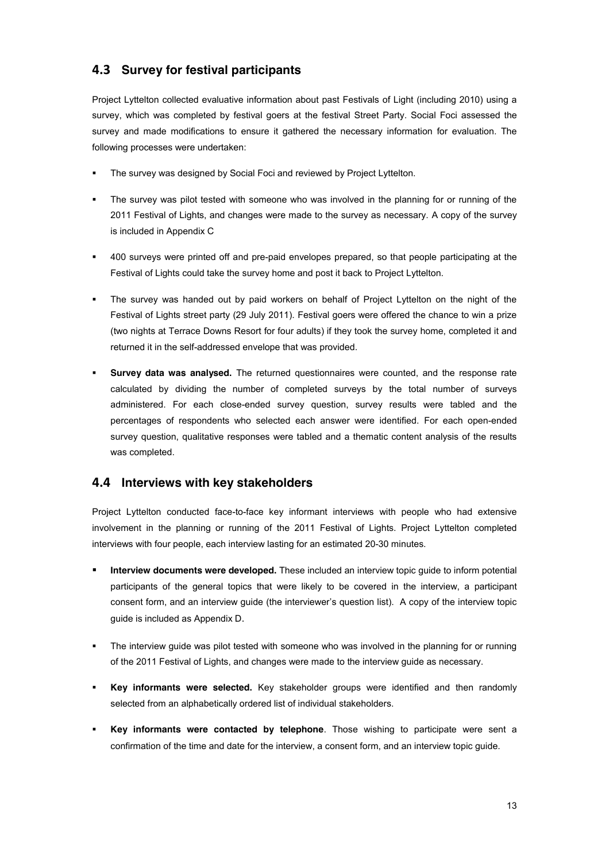## **4.3 Survey for festival participants**

Project Lyttelton collected evaluative information about past Festivals of Light (including 2010) using a survey, which was completed by festival goers at the festival Street Party. Social Foci assessed the survey and made modifications to ensure it gathered the necessary information for evaluation. The following processes were undertaken:

- The survey was designed by Social Foci and reviewed by Project Lyttelton.
- The survey was pilot tested with someone who was involved in the planning for or running of the 2011 Festival of Lights, and changes were made to the survey as necessary. A copy of the survey is included in Appendix C
- ! 400 surveys were printed off and pre-paid envelopes prepared, so that people participating at the Festival of Lights could take the survey home and post it back to Project Lyttelton.
- The survey was handed out by paid workers on behalf of Project Lyttelton on the night of the Festival of Lights street party (29 July 2011). Festival goers were offered the chance to win a prize (two nights at Terrace Downs Resort for four adults) if they took the survey home, completed it and returned it in the self-addressed envelope that was provided.
- ! **Survey data was analysed.** The returned questionnaires were counted, and the response rate calculated by dividing the number of completed surveys by the total number of surveys administered. For each close-ended survey question, survey results were tabled and the percentages of respondents who selected each answer were identified. For each open-ended survey question, qualitative responses were tabled and a thematic content analysis of the results was completed.

## **\$"\$ Interviews with key stakeholders**

Project Lyttelton conducted face-to-face key informant interviews with people who had extensive involvement in the planning or running of the 2011 Festival of Lights. Project Lyttelton completed interviews with four people, each interview lasting for an estimated 20-30 minutes.

- **Interview documents were developed.** These included an interview topic guide to inform potential participants of the general topics that were likely to be covered in the interview, a participant consent form, and an interview guide (the interviewer's question list). A copy of the interview topic guide is included as Appendix D.
- ! The interview guide was pilot tested with someone who was involved in the planning for or running of the 2011 Festival of Lights, and changes were made to the interview guide as necessary.
- ! **Key informants were selected.** Key stakeholder groups were identified and then randomly selected from an alphabetically ordered list of individual stakeholders.
- ! **Key informants were contacted by telephone**. Those wishing to participate were sent a confirmation of the time and date for the interview, a consent form, and an interview topic guide.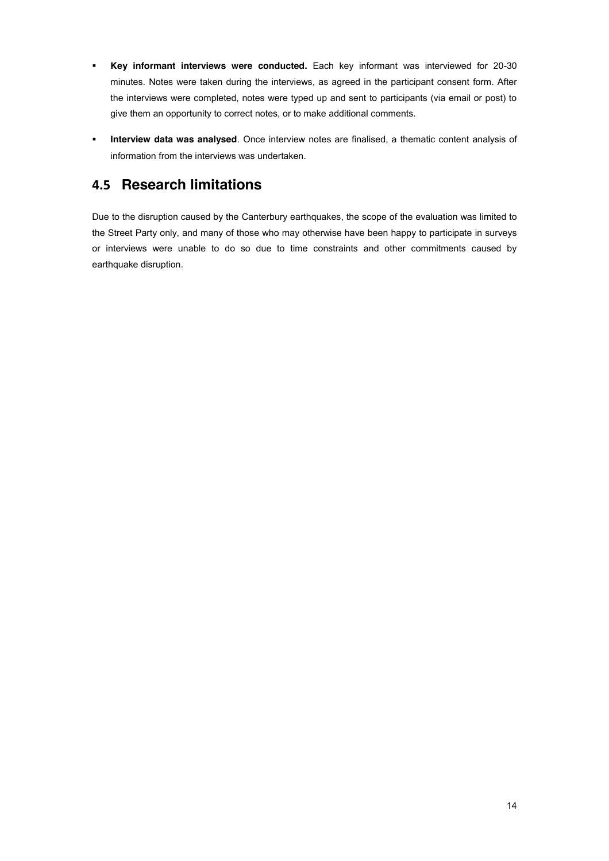- ! **Key informant interviews were conducted.** Each key informant was interviewed for 20-30 minutes. Notes were taken during the interviews, as agreed in the participant consent form. After the interviews were completed, notes were typed up and sent to participants (via email or post) to give them an opportunity to correct notes, or to make additional comments.
- ! **Interview data was analysed**. Once interview notes are finalised, a thematic content analysis of information from the interviews was undertaken.

## **4.5 Research limitations**

Due to the disruption caused by the Canterbury earthquakes, the scope of the evaluation was limited to the Street Party only, and many of those who may otherwise have been happy to participate in surveys or interviews were unable to do so due to time constraints and other commitments caused by earthquake disruption.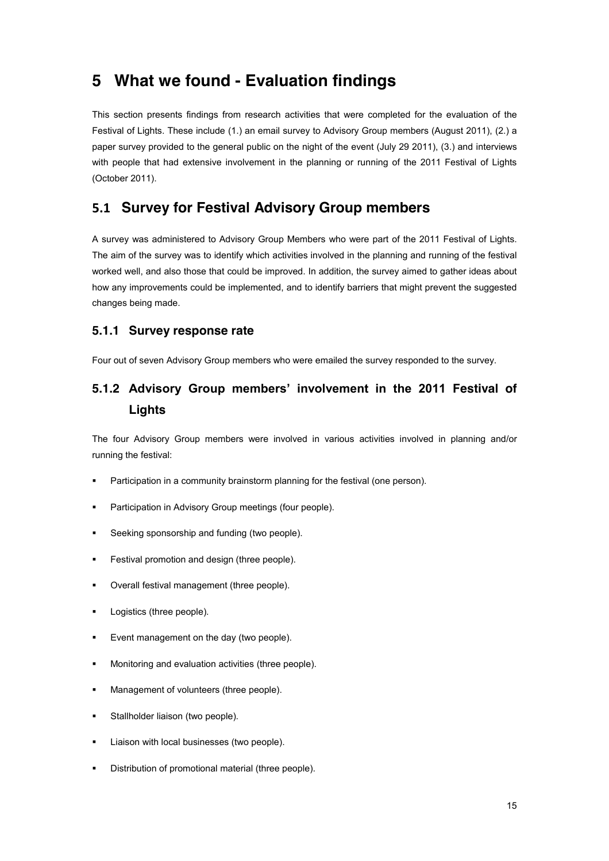# **5 What we found - Evaluation findings**

This section presents findings from research activities that were completed for the evaluation of the Festival of Lights. These include (1.) an email survey to Advisory Group members (August 2011), (2.) a paper survey provided to the general public on the night of the event (July 29 2011), (3.) and interviews with people that had extensive involvement in the planning or running of the 2011 Festival of Lights (October 2011).

## **&"# Survey for Festival Advisory Group members**

A survey was administered to Advisory Group Members who were part of the 2011 Festival of Lights. The aim of the survey was to identify which activities involved in the planning and running of the festival worked well, and also those that could be improved. In addition, the survey aimed to gather ideas about how any improvements could be implemented, and to identify barriers that might prevent the suggested changes being made.

### **5.1.1 Survey response rate**

Four out of seven Advisory Group members who were emailed the survey responded to the survey.

## **5.1.2 Advisory Group members' involvement in the 2011 Festival of Lights**

The four Advisory Group members were involved in various activities involved in planning and/or running the festival:

- Participation in a community brainstorm planning for the festival (one person).
- **Participation in Advisory Group meetings (four people).**
- **EXECTE:** Seeking sponsorship and funding (two people).
- Festival promotion and design (three people).
- Overall festival management (three people).
- **•** Logistics (three people).
- **Event management on the day (two people).**
- ! Monitoring and evaluation activities (three people).
- **EXECUTE:** Management of volunteers (three people).
- **EXECUTE:** Stallholder liaison (two people).
- **EXEC** Liaison with local businesses (two people).
- ! Distribution of promotional material (three people).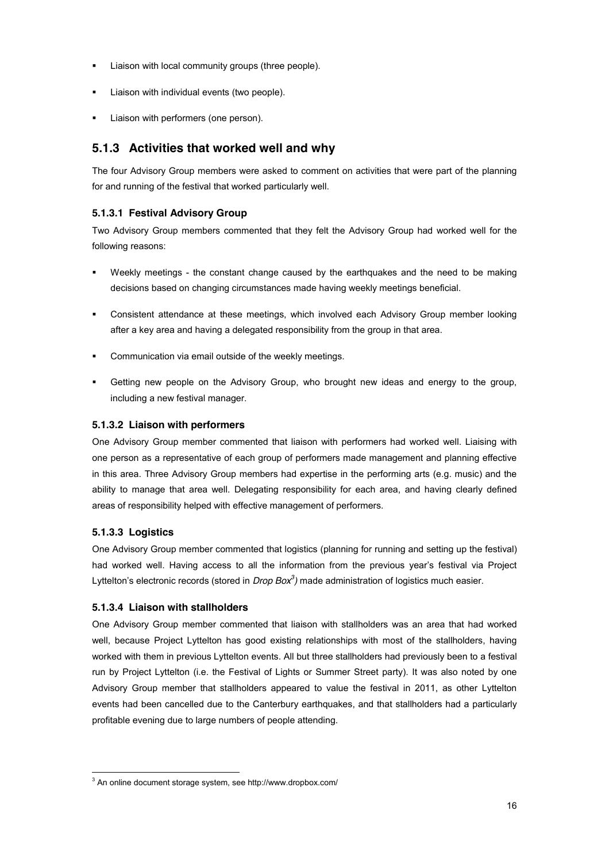- ! Liaison with local community groups (three people).
- Liaison with individual events (two people).
- Liaison with performers (one person).

## **5.1.3 Activities that worked well and why**

The four Advisory Group members were asked to comment on activities that were part of the planning for and running of the festival that worked particularly well.

#### **5.1.3.1 Festival Advisory Group**

Two Advisory Group members commented that they felt the Advisory Group had worked well for the following reasons:

- ! Weekly meetings the constant change caused by the earthquakes and the need to be making decisions based on changing circumstances made having weekly meetings beneficial.
- ! Consistent attendance at these meetings, which involved each Advisory Group member looking after a key area and having a delegated responsibility from the group in that area.
- ! Communication via email outside of the weekly meetings.
- Getting new people on the Advisory Group, who brought new ideas and energy to the group, including a new festival manager.

#### **5.1.3.2 Liaison with performers**

One Advisory Group member commented that liaison with performers had worked well. Liaising with one person as a representative of each group of performers made management and planning effective in this area. Three Advisory Group members had expertise in the performing arts (e.g. music) and the ability to manage that area well. Delegating responsibility for each area, and having clearly defined areas of responsibility helped with effective management of performers.

#### **5.1.3.3 Logistics**

One Advisory Group member commented that logistics (planning for running and setting up the festival) had worked well. Having access to all the information from the previous year's festival via Project Lyttelton's electronic records (stored in *Drop Box<sup>3</sup>*) made administration of logistics much easier.

#### **5.1.3.4 Liaison with stallholders**

One Advisory Group member commented that liaison with stallholders was an area that had worked well, because Project Lyttelton has good existing relationships with most of the stallholders, having worked with them in previous Lyttelton events. All but three stallholders had previously been to a festival run by Project Lyttelton (i.e. the Festival of Lights or Summer Street party). It was also noted by one Advisory Group member that stallholders appeared to value the festival in 2011, as other Lyttelton events had been cancelled due to the Canterbury earthquakes, and that stallholders had a particularly profitable evening due to large numbers of people attending.

<sup>&</sup>lt;sup>3</sup> An online document storage system, see http://www.dropbox.com/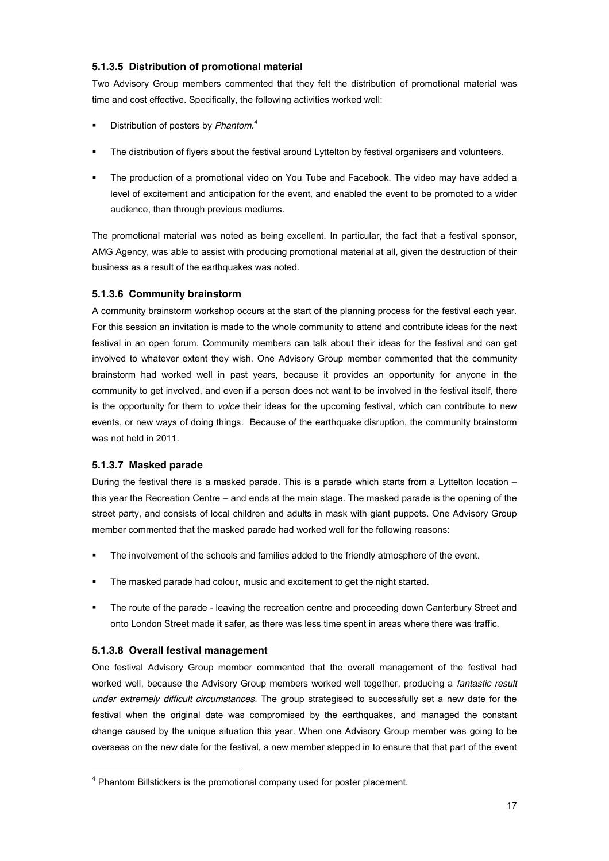#### **5.1.3.5 Distribution of promotional material**

Two Advisory Group members commented that they felt the distribution of promotional material was time and cost effective. Specifically, the following activities worked well:

- ! Distribution of posters by *Phantom.4*
- The distribution of flyers about the festival around Lyttelton by festival organisers and volunteers.
- ! The production of a promotional video on You Tube and Facebook. The video may have added a level of excitement and anticipation for the event, and enabled the event to be promoted to a wider audience, than through previous mediums.

The promotional material was noted as being excellent. In particular, the fact that a festival sponsor, AMG Agency, was able to assist with producing promotional material at all, given the destruction of their business as a result of the earthquakes was noted.

#### **5.1.3.6 Community brainstorm**

A community brainstorm workshop occurs at the start of the planning process for the festival each year. For this session an invitation is made to the whole community to attend and contribute ideas for the next festival in an open forum. Community members can talk about their ideas for the festival and can get involved to whatever extent they wish. One Advisory Group member commented that the community brainstorm had worked well in past years, because it provides an opportunity for anyone in the community to get involved, and even if a person does not want to be involved in the festival itself, there is the opportunity for them to *voice* their ideas for the upcoming festival, which can contribute to new events, or new ways of doing things. Because of the earthquake disruption, the community brainstorm was not held in 2011.

#### **5.1.3.7 Masked parade**

During the festival there is a masked parade. This is a parade which starts from a Lyttelton location  $$ this year the Recreation Centre - and ends at the main stage. The masked parade is the opening of the street party, and consists of local children and adults in mask with giant puppets. One Advisory Group member commented that the masked parade had worked well for the following reasons:

- The involvement of the schools and families added to the friendly atmosphere of the event.
- ! The masked parade had colour, music and excitement to get the night started.
- The route of the parade leaving the recreation centre and proceeding down Canterbury Street and onto London Street made it safer, as there was less time spent in areas where there was traffic.

#### **5.1.3.8 Overall festival management**

One festival Advisory Group member commented that the overall management of the festival had worked well, because the Advisory Group members worked well together, producing a *fantastic result under extremely difficult circumstances*. The group strategised to successfully set a new date for the festival when the original date was compromised by the earthquakes, and managed the constant change caused by the unique situation this year. When one Advisory Group member was going to be overseas on the new date for the festival, a new member stepped in to ensure that that part of the event

<sup>&</sup>lt;sup>4</sup> Phantom Billstickers is the promotional company used for poster placement.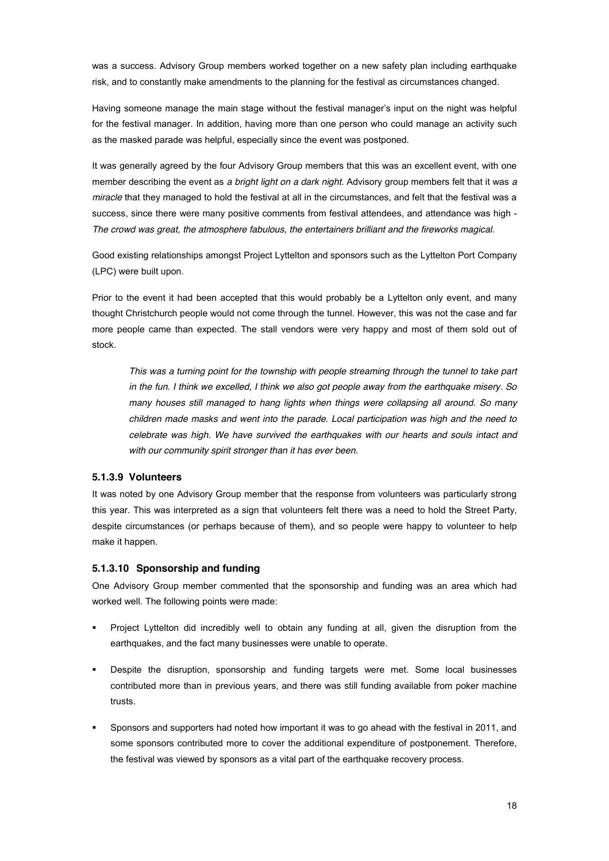was a success. Advisory Group members worked together on a new safety plan including earthquake risk, and to constantly make amendments to the planning for the festival as circumstances changed.

Having someone manage the main stage without the festival manager's input on the night was helpful for the festival manager. In addition, having more than one person who could manage an activity such as the masked parade was helpful, especially since the event was postponed.

It was generally agreed by the four Advisory Group members that this was an excellent event, with one member describing the event as *a bright light on a dark night*. Advisory group members felt that it was *a miracle* that they managed to hold the festival at all in the circumstances, and felt that the festival was a success, since there were many positive comments from festival attendees, and attendance was high - *The crowd was great, the atmosphere fabulous, the entertainers brilliant and the fireworks magical*.

Good existing relationships amongst Project Lyttelton and sponsors such as the Lyttelton Port Company (LPC) were built upon.

Prior to the event it had been accepted that this would probably be a Lyttelton only event, and many thought Christchurch people would not come through the tunnel. However, this was not the case and far more people came than expected. The stall vendors were very happy and most of them sold out of stock.

*This was a turning point for the township with people streaming through the tunnel to take part in the fun. I think we excelled, I think we also got people away from the earthquake misery. So many houses still managed to hang lights when things were collapsing all around. So many children made masks and went into the parade. Local participation was high and the need to celebrate was high. We have survived the earthquakes with our hearts and souls intact and with our community spirit stronger than it has ever been.* 

#### **5.1.3.9 Volunteers**

It was noted by one Advisory Group member that the response from volunteers was particularly strong this year. This was interpreted as a sign that volunteers felt there was a need to hold the Street Party, despite circumstances (or perhaps because of them), and so people were happy to volunteer to help make it happen.

#### **5.1.3.10 Sponsorship and funding**

One Advisory Group member commented that the sponsorship and funding was an area which had worked well. The following points were made:

- ! Project Lyttelton did incredibly well to obtain any funding at all, given the disruption from the earthquakes, and the fact many businesses were unable to operate.
- ! Despite the disruption, sponsorship and funding targets were met. Some local businesses contributed more than in previous years, and there was still funding available from poker machine trusts.
- Sponsors and supporters had noted how important it was to go ahead with the festival in 2011, and some sponsors contributed more to cover the additional expenditure of postponement. Therefore, the festival was viewed by sponsors as a vital part of the earthquake recovery process.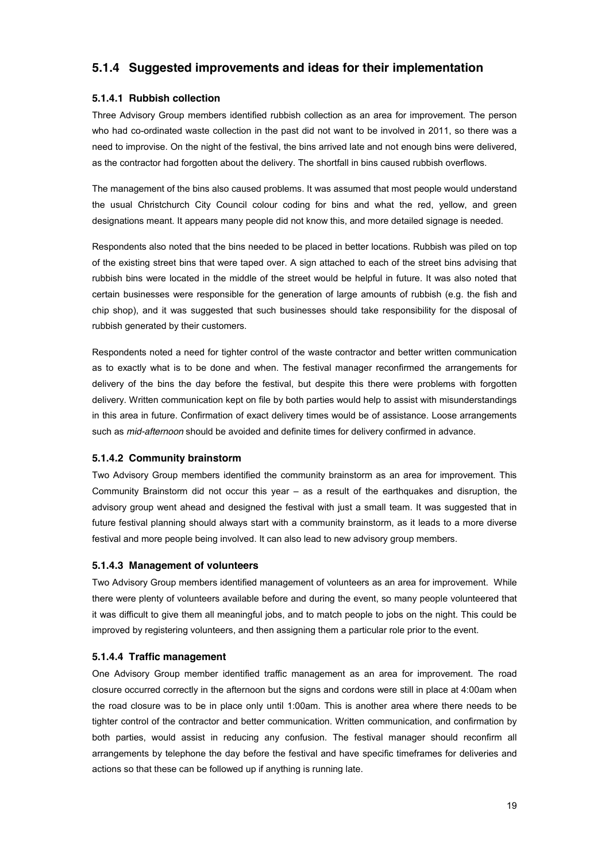## **5.1.4 Suggested improvements and ideas for their implementation**

#### **5.1.4.1 Rubbish collection**

Three Advisory Group members identified rubbish collection as an area for improvement. The person who had co-ordinated waste collection in the past did not want to be involved in 2011, so there was a need to improvise. On the night of the festival, the bins arrived late and not enough bins were delivered, as the contractor had forgotten about the delivery. The shortfall in bins caused rubbish overflows.

The management of the bins also caused problems. It was assumed that most people would understand the usual Christchurch City Council colour coding for bins and what the red, yellow, and green designations meant. It appears many people did not know this, and more detailed signage is needed.

Respondents also noted that the bins needed to be placed in better locations. Rubbish was piled on top of the existing street bins that were taped over. A sign attached to each of the street bins advising that rubbish bins were located in the middle of the street would be helpful in future. It was also noted that certain businesses were responsible for the generation of large amounts of rubbish (e.g. the fish and chip shop), and it was suggested that such businesses should take responsibility for the disposal of rubbish generated by their customers.

Respondents noted a need for tighter control of the waste contractor and better written communication as to exactly what is to be done and when. The festival manager reconfirmed the arrangements for delivery of the bins the day before the festival, but despite this there were problems with forgotten delivery. Written communication kept on file by both parties would help to assist with misunderstandings in this area in future. Confirmation of exact delivery times would be of assistance. Loose arrangements such as *mid-afternoon* should be avoided and definite times for delivery confirmed in advance.

#### **5.1.4.2 Community brainstorm**

Two Advisory Group members identified the community brainstorm as an area for improvement. This Community Brainstorm did not occur this year  $-$  as a result of the earthquakes and disruption, the advisory group went ahead and designed the festival with just a small team. It was suggested that in future festival planning should always start with a community brainstorm, as it leads to a more diverse festival and more people being involved. It can also lead to new advisory group members.

#### **5.1.4.3 Management of volunteers**

Two Advisory Group members identified management of volunteers as an area for improvement. While there were plenty of volunteers available before and during the event, so many people volunteered that it was difficult to give them all meaningful jobs, and to match people to jobs on the night. This could be improved by registering volunteers, and then assigning them a particular role prior to the event.

#### **5.1.4.4 Traffic management**

One Advisory Group member identified traffic management as an area for improvement. The road closure occurred correctly in the afternoon but the signs and cordons were still in place at 4:00am when the road closure was to be in place only until 1:00am. This is another area where there needs to be tighter control of the contractor and better communication. Written communication, and confirmation by both parties, would assist in reducing any confusion. The festival manager should reconfirm all arrangements by telephone the day before the festival and have specific timeframes for deliveries and actions so that these can be followed up if anything is running late.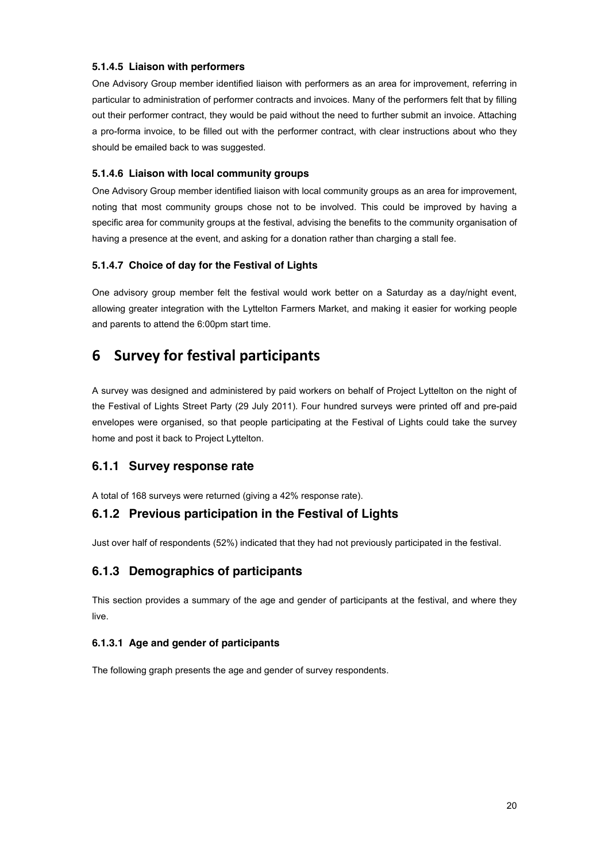#### **5.1.4.5 Liaison with performers**

One Advisory Group member identified liaison with performers as an area for improvement, referring in particular to administration of performer contracts and invoices. Many of the performers felt that by filling out their performer contract, they would be paid without the need to further submit an invoice. Attaching a pro-forma invoice, to be filled out with the performer contract, with clear instructions about who they should be emailed back to was suggested.

#### **5.1.4.6 Liaison with local community groups**

One Advisory Group member identified liaison with local community groups as an area for improvement, noting that most community groups chose not to be involved. This could be improved by having a specific area for community groups at the festival, advising the benefits to the community organisation of having a presence at the event, and asking for a donation rather than charging a stall fee.

#### **5.1.4.7 Choice of day for the Festival of Lights**

One advisory group member felt the festival would work better on a Saturday as a day/night event, allowing greater integration with the Lyttelton Farmers Market, and making it easier for working people and parents to attend the 6:00pm start time.

## **6** Survey for festival participants

A survey was designed and administered by paid workers on behalf of Project Lyttelton on the night of the Festival of Lights Street Party (29 July 2011). Four hundred surveys were printed off and pre-paid envelopes were organised, so that people participating at the Festival of Lights could take the survey home and post it back to Project Lyttelton.

### **6.1.1 Survey response rate**

A total of 168 surveys were returned (giving a 42% response rate).

### **6.1.2 Previous participation in the Festival of Lights**

Just over half of respondents (52%) indicated that they had not previously participated in the festival.

### **6.1.3 Demographics of participants**

This section provides a summary of the age and gender of participants at the festival, and where they live.

#### **6.1.3.1 Age and gender of participants**

The following graph presents the age and gender of survey respondents.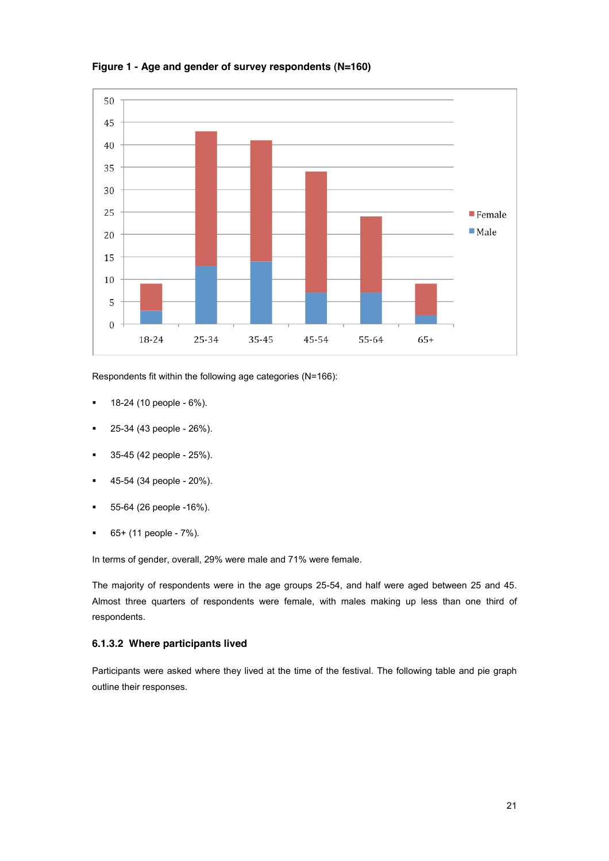

**Figure 1 - Age and gender of survey respondents (N=160)**

Respondents fit within the following age categories (N=166):

- $\blacksquare$  18-24 (10 people 6%).
- 25-34 (43 people 26%).
- $\blacksquare$  35-45 (42 people 25%).
- ! 45-54 (34 people 20%).
- ! 55-64 (26 people -16%).
- $\bullet$  65+ (11 people 7%).

In terms of gender, overall, 29% were male and 71% were female.

The majority of respondents were in the age groups 25-54, and half were aged between 25 and 45. Almost three quarters of respondents were female, with males making up less than one third of respondents.

#### **6.1.3.2 Where participants lived**

Participants were asked where they lived at the time of the festival. The following table and pie graph outline their responses.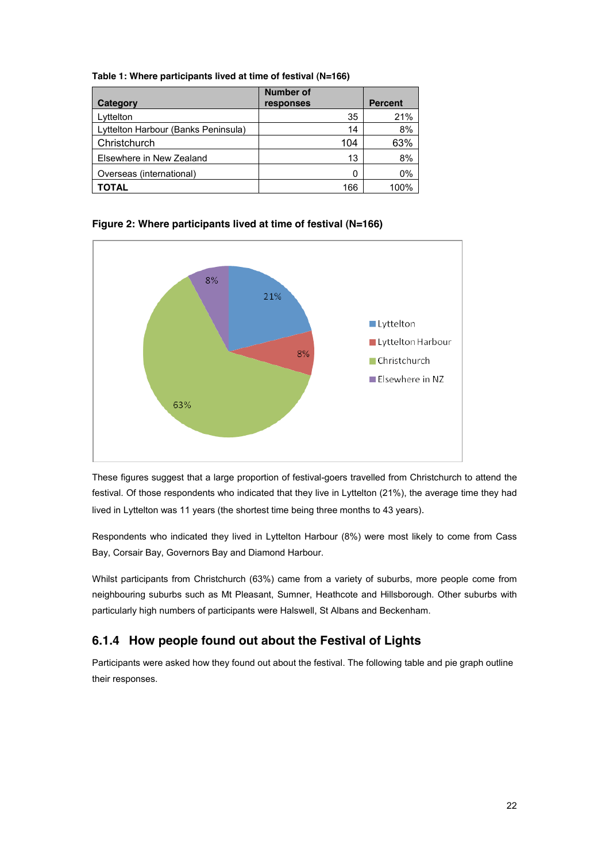| Category                            | Number of<br>responses | <b>Percent</b> |
|-------------------------------------|------------------------|----------------|
| Lyttelton                           | 35                     | 21%            |
| Lyttelton Harbour (Banks Peninsula) | 14                     | 8%             |
| Christchurch                        | 104                    | 63%            |
| Elsewhere in New Zealand            | 13                     | 8%             |
| Overseas (international)            | 0                      | 0%             |
| TOTAL                               | 166                    | 00%ا           |

**Table 1: Where participants lived at time of festival (N=166)**





These figures suggest that a large proportion of festival-goers travelled from Christchurch to attend the festival. Of those respondents who indicated that they live in Lyttelton (21%), the average time they had lived in Lyttelton was 11 years (the shortest time being three months to 43 years).

Respondents who indicated they lived in Lyttelton Harbour (8%) were most likely to come from Cass Bay, Corsair Bay, Governors Bay and Diamond Harbour.

Whilst participants from Christchurch (63%) came from a variety of suburbs, more people come from neighbouring suburbs such as Mt Pleasant, Sumner, Heathcote and Hillsborough. Other suburbs with particularly high numbers of participants were Halswell, St Albans and Beckenham.

## **6.1.4 How people found out about the Festival of Lights**

Participants were asked how they found out about the festival. The following table and pie graph outline their responses.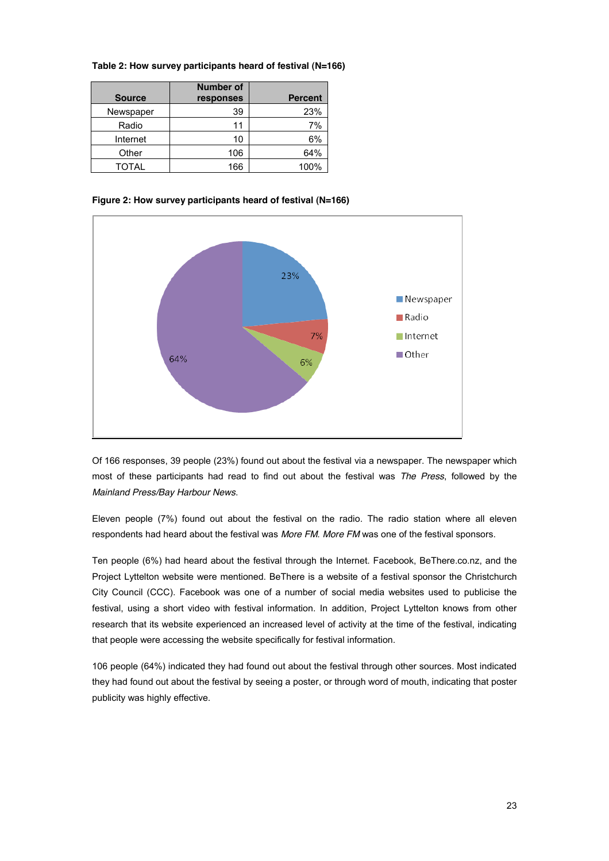| Table 2: How survey participants heard of festival (N=166) |  |  |
|------------------------------------------------------------|--|--|
|------------------------------------------------------------|--|--|

| <b>Source</b> | <b>Number of</b><br>responses | <b>Percent</b> |
|---------------|-------------------------------|----------------|
| Newspaper     | 39                            | 23%            |
| Radio         | 11                            | 7%             |
| Internet      | 10                            | 6%             |
| Other         | 106                           | 64%            |
| TOTAL         | 166                           | 100%           |

**Figure 2: How survey participants heard of festival (N=166)**



Of 166 responses, 39 people (23%) found out about the festival via a newspaper. The newspaper which most of these participants had read to find out about the festival was *The Press*, followed by the *Mainland Press/Bay Harbour News*.

Eleven people (7%) found out about the festival on the radio. The radio station where all eleven respondents had heard about the festival was *More FM*. *More FM* was one of the festival sponsors.

Ten people (6%) had heard about the festival through the Internet. Facebook, BeThere.co.nz, and the Project Lyttelton website were mentioned. BeThere is a website of a festival sponsor the Christchurch City Council (CCC). Facebook was one of a number of social media websites used to publicise the festival, using a short video with festival information. In addition, Project Lyttelton knows from other research that its website experienced an increased level of activity at the time of the festival, indicating that people were accessing the website specifically for festival information.

106 people (64%) indicated they had found out about the festival through other sources. Most indicated they had found out about the festival by seeing a poster, or through word of mouth, indicating that poster publicity was highly effective.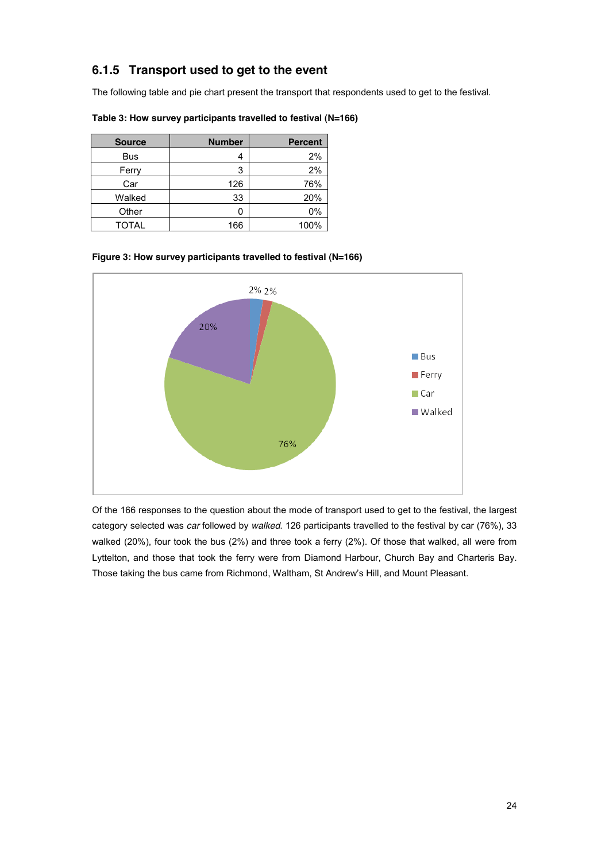## **6.1.5 Transport used to get to the event**

The following table and pie chart present the transport that respondents used to get to the festival.

| <b>Source</b> | <b>Number</b> | <b>Percent</b> |
|---------------|---------------|----------------|
| <b>Bus</b>    |               | 2%             |
| Ferry         | 3             | 2%             |
| Car           | 126           | 76%            |
| Walked        | 33            | 20%            |
| Other         |               | 0%             |
| <b>TOTAL</b>  | 166           | 100%           |

**Table 3: How survey participants travelled to festival (N=166)**





Of the 166 responses to the question about the mode of transport used to get to the festival, the largest category selected was *car* followed by *walked*. 126 participants travelled to the festival by car (76%), 33 walked (20%), four took the bus (2%) and three took a ferry (2%). Of those that walked, all were from Lyttelton, and those that took the ferry were from Diamond Harbour, Church Bay and Charteris Bay. Those taking the bus came from Richmond, Waltham, St Andrew's Hill, and Mount Pleasant.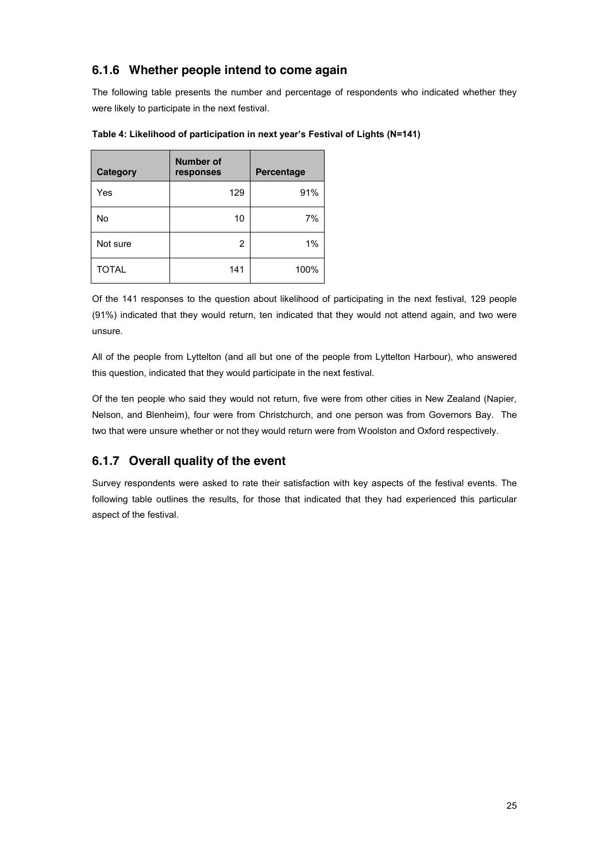## **6.1.6 Whether people intend to come again**

The following table presents the number and percentage of respondents who indicated whether they were likely to participate in the next festival.

| <b>Category</b> | <b>Number of</b><br>responses | <b>Percentage</b> |
|-----------------|-------------------------------|-------------------|
| Yes             | 129                           | 91%               |
| No              | 10                            | 7%                |
| Not sure        | 2                             | 1%                |
| <b>TOTAL</b>    | 141                           | 100%              |

Table 4: Likelihood of participation in next year's Festival of Lights (N=141)

Of the 141 responses to the question about likelihood of participating in the next festival, 129 people (91%) indicated that they would return, ten indicated that they would not attend again, and two were unsure.

All of the people from Lyttelton (and all but one of the people from Lyttelton Harbour), who answered this question, indicated that they would participate in the next festival.

Of the ten people who said they would not return, five were from other cities in New Zealand (Napier, Nelson, and Blenheim), four were from Christchurch, and one person was from Governors Bay. The two that were unsure whether or not they would return were from Woolston and Oxford respectively.

## **6.1.7 Overall quality of the event**

Survey respondents were asked to rate their satisfaction with key aspects of the festival events. The following table outlines the results, for those that indicated that they had experienced this particular aspect of the festival.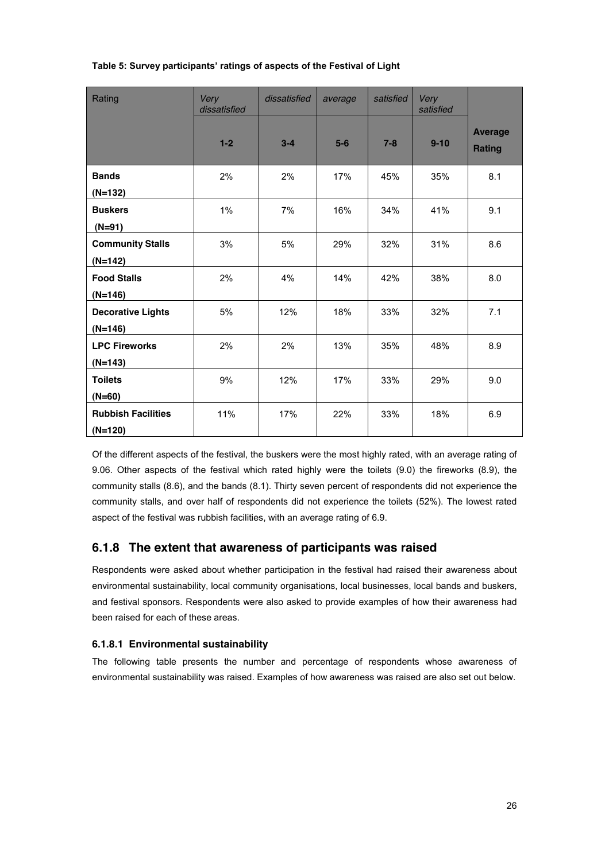| Rating                    | Very<br>dissatisfied | dissatisfied | average | satisfied | Very<br>satisfied |                                 |
|---------------------------|----------------------|--------------|---------|-----------|-------------------|---------------------------------|
|                           | $1-2$                | $3 - 4$      | $5-6$   | $7 - 8$   | $9 - 10$          | <b>Average</b><br><b>Rating</b> |
| <b>Bands</b>              | 2%                   | 2%           | 17%     | 45%       | 35%               | 8.1                             |
| $(N=132)$                 |                      |              |         |           |                   |                                 |
| <b>Buskers</b>            | 1%                   | 7%           | 16%     | 34%       | 41%               | 9.1                             |
| $(N=91)$                  |                      |              |         |           |                   |                                 |
| <b>Community Stalls</b>   | 3%                   | 5%           | 29%     | 32%       | 31%               | 8.6                             |
| (N=142)                   |                      |              |         |           |                   |                                 |
| <b>Food Stalls</b>        | 2%                   | 4%           | 14%     | 42%       | 38%               | 8.0                             |
| $(N=146)$                 |                      |              |         |           |                   |                                 |
| <b>Decorative Lights</b>  | 5%                   | 12%          | 18%     | 33%       | 32%               | 7.1                             |
| $(N=146)$                 |                      |              |         |           |                   |                                 |
| <b>LPC Fireworks</b>      | 2%                   | 2%           | 13%     | 35%       | 48%               | 8.9                             |
| $(N=143)$                 |                      |              |         |           |                   |                                 |
| <b>Toilets</b>            | 9%                   | 12%          | 17%     | 33%       | 29%               | 9.0                             |
| $(N=60)$                  |                      |              |         |           |                   |                                 |
| <b>Rubbish Facilities</b> | 11%                  | 17%          | 22%     | 33%       | 18%               | 6.9                             |
| $(N=120)$                 |                      |              |         |           |                   |                                 |

## Table 5: Survey participants' ratings of aspects of the Festival of Light

Of the different aspects of the festival, the buskers were the most highly rated, with an average rating of 9.06. Other aspects of the festival which rated highly were the toilets (9.0) the fireworks (8.9), the community stalls (8.6), and the bands (8.1). Thirty seven percent of respondents did not experience the community stalls, and over half of respondents did not experience the toilets (52%). The lowest rated aspect of the festival was rubbish facilities, with an average rating of 6.9.

## **6.1.8 The extent that awareness of participants was raised**

Respondents were asked about whether participation in the festival had raised their awareness about environmental sustainability, local community organisations, local businesses, local bands and buskers, and festival sponsors. Respondents were also asked to provide examples of how their awareness had been raised for each of these areas.

#### **6.1.8.1 Environmental sustainability**

The following table presents the number and percentage of respondents whose awareness of environmental sustainability was raised. Examples of how awareness was raised are also set out below.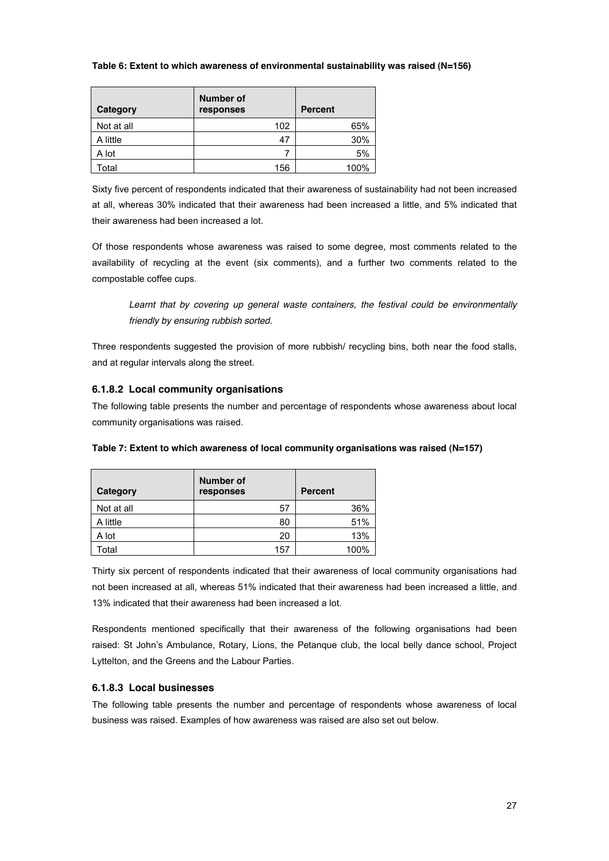#### **Table 6: Extent to which awareness of environmental sustainability was raised (N=156)**

| Category   | <b>Number of</b><br>responses | <b>Percent</b> |
|------------|-------------------------------|----------------|
| Not at all | 102                           | 65%            |
| A little   | 47                            | 30%            |
| A lot      |                               | 5%             |
| Total      | 156                           | 100%           |

Sixty five percent of respondents indicated that their awareness of sustainability had not been increased at all, whereas 30% indicated that their awareness had been increased a little, and 5% indicated that their awareness had been increased a lot.

Of those respondents whose awareness was raised to some degree, most comments related to the availability of recycling at the event (six comments), and a further two comments related to the compostable coffee cups.

Learnt that by covering up general waste containers, the festival could be environmentally *friendly by ensuring rubbish sorted.*

Three respondents suggested the provision of more rubbish/ recycling bins, both near the food stalls, and at regular intervals along the street.

#### **6.1.8.2 Local community organisations**

The following table presents the number and percentage of respondents whose awareness about local community organisations was raised.

| Category   | <b>Number of</b><br>responses | <b>Percent</b> |
|------------|-------------------------------|----------------|
| Not at all | 57                            | 36%            |
| A little   | 80                            | 51%            |
| A lot      | 20                            | 13%            |
| Гоtal      | 157                           | 100%           |

|  | Table 7: Extent to which awareness of local community organisations was raised (N=157) |
|--|----------------------------------------------------------------------------------------|
|--|----------------------------------------------------------------------------------------|

Thirty six percent of respondents indicated that their awareness of local community organisations had not been increased at all, whereas 51% indicated that their awareness had been increased a little, and 13% indicated that their awareness had been increased a lot.

Respondents mentioned specifically that their awareness of the following organisations had been raised: St John's Ambulance, Rotary, Lions, the Petanque club, the local belly dance school, Project Lyttelton, and the Greens and the Labour Parties.

#### **6.1.8.3 Local businesses**

The following table presents the number and percentage of respondents whose awareness of local business was raised. Examples of how awareness was raised are also set out below.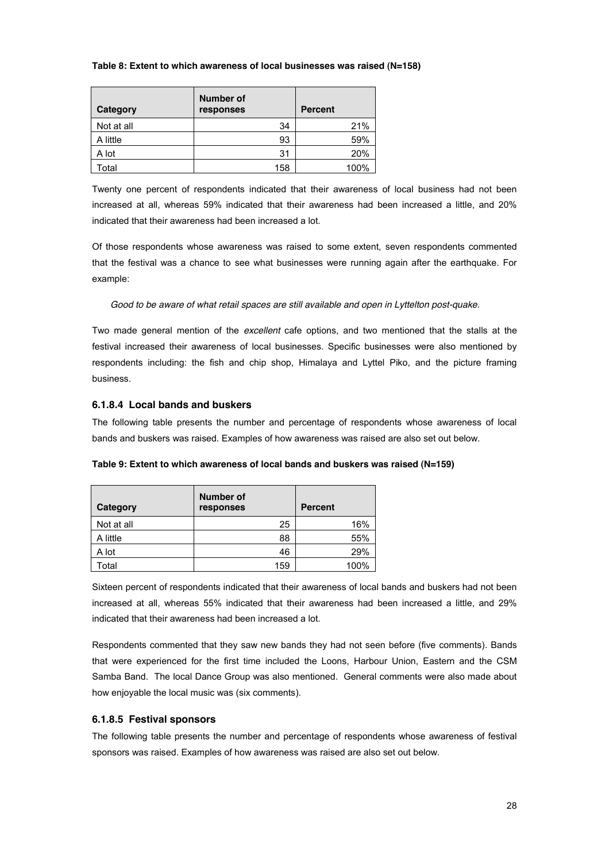#### **Table 8: Extent to which awareness of local businesses was raised (N=158)**

| Category   | <b>Number of</b><br>responses | <b>Percent</b> |
|------------|-------------------------------|----------------|
| Not at all | 34                            | 21%            |
| A little   | 93                            | 59%            |
| A lot      | 31                            | 20%            |
| Total      | 158                           | 100%           |

Twenty one percent of respondents indicated that their awareness of local business had not been increased at all, whereas 59% indicated that their awareness had been increased a little, and 20% indicated that their awareness had been increased a lot.

Of those respondents whose awareness was raised to some extent, seven respondents commented that the festival was a chance to see what businesses were running again after the earthquake. For example:

*Good to be aware of what retail spaces are still available and open in Lyttelton post-quake.* 

Two made general mention of the *excellent* cafe options, and two mentioned that the stalls at the festival increased their awareness of local businesses. Specific businesses were also mentioned by respondents including: the fish and chip shop, Himalaya and Lyttel Piko, and the picture framing business.

#### **6.1.8.4 Local bands and buskers**

The following table presents the number and percentage of respondents whose awareness of local bands and buskers was raised. Examples of how awareness was raised are also set out below.

| Category   | Number of<br>responses | <b>Percent</b> |
|------------|------------------------|----------------|
| Not at all | 25                     | 16%            |
| A little   | 88                     | 55%            |
| A lot      | 46                     | 29%            |
| Total      | 159                    | 100%           |

**Table 9: Extent to which awareness of local bands and buskers was raised (N=159)**

Sixteen percent of respondents indicated that their awareness of local bands and buskers had not been increased at all, whereas 55% indicated that their awareness had been increased a little, and 29% indicated that their awareness had been increased a lot.

Respondents commented that they saw new bands they had not seen before (five comments). Bands that were experienced for the first time included the Loons, Harbour Union, Eastern and the CSM Samba Band. The local Dance Group was also mentioned. General comments were also made about how enjoyable the local music was (six comments).

#### **6.1.8.5 Festival sponsors**

The following table presents the number and percentage of respondents whose awareness of festival sponsors was raised. Examples of how awareness was raised are also set out below.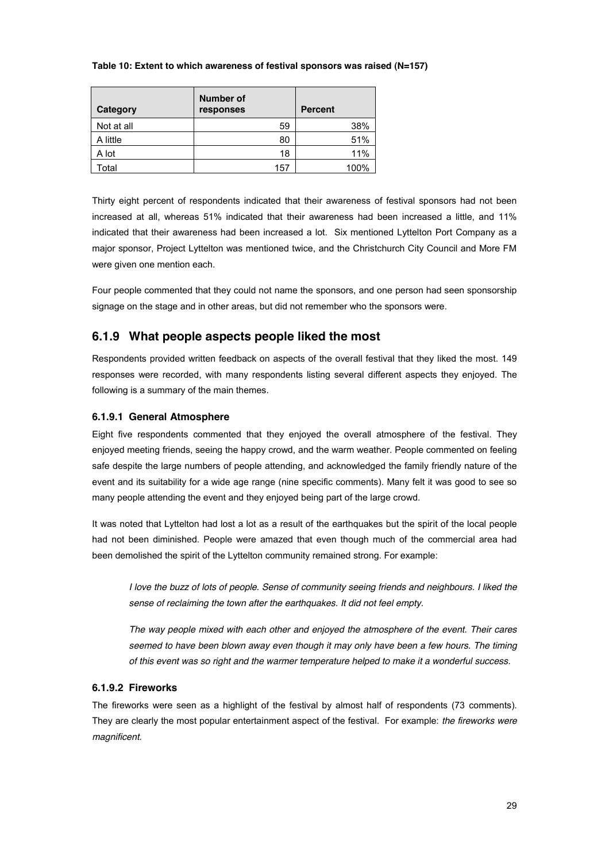#### **Table 10: Extent to which awareness of festival sponsors was raised (N=157)**

| Category   | Number of<br>responses | <b>Percent</b> |
|------------|------------------------|----------------|
| Not at all | 59                     | 38%            |
| A little   | 80                     | 51%            |
| A lot      | 18                     | 11%            |
| Total      | 157                    | 100%           |

Thirty eight percent of respondents indicated that their awareness of festival sponsors had not been increased at all, whereas 51% indicated that their awareness had been increased a little, and 11% indicated that their awareness had been increased a lot. Six mentioned Lyttelton Port Company as a major sponsor, Project Lyttelton was mentioned twice, and the Christchurch City Council and More FM were given one mention each.

Four people commented that they could not name the sponsors, and one person had seen sponsorship signage on the stage and in other areas, but did not remember who the sponsors were.

## **6.1.9 What people aspects people liked the most**

Respondents provided written feedback on aspects of the overall festival that they liked the most. 149 responses were recorded, with many respondents listing several different aspects they enjoyed. The following is a summary of the main themes.

#### **6.1.9.1 General Atmosphere**

Eight five respondents commented that they enjoyed the overall atmosphere of the festival. They enjoyed meeting friends, seeing the happy crowd, and the warm weather. People commented on feeling safe despite the large numbers of people attending, and acknowledged the family friendly nature of the event and its suitability for a wide age range (nine specific comments). Many felt it was good to see so many people attending the event and they enjoyed being part of the large crowd.

It was noted that Lyttelton had lost a lot as a result of the earthquakes but the spirit of the local people had not been diminished. People were amazed that even though much of the commercial area had been demolished the spirit of the Lyttelton community remained strong. For example:

*I love the buzz of lots of people. Sense of community seeing friends and neighbours. I liked the sense of reclaiming the town after the earthquakes. It did not feel empty.* 

*The way people mixed with each other and enjoyed the atmosphere of the event. Their cares seemed to have been blown away even though it may only have been a few hours. The timing of this event was so right and the warmer temperature helped to make it a wonderful success.* 

#### **6.1.9.2 Fireworks**

The fireworks were seen as a highlight of the festival by almost half of respondents (73 comments). They are clearly the most popular entertainment aspect of the festival. For example: *the fireworks were magnificent.*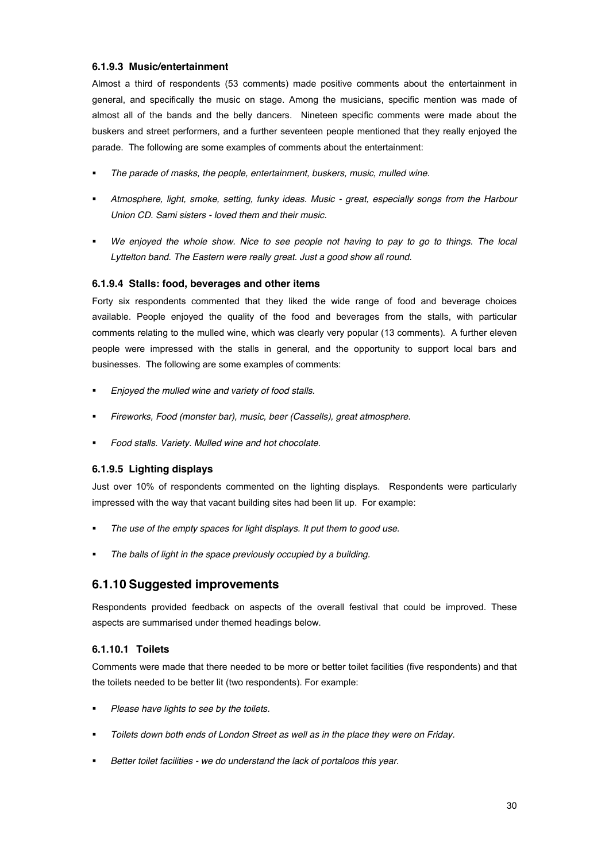#### **6.1.9.3 Music/entertainment**

Almost a third of respondents (53 comments) made positive comments about the entertainment in general, and specifically the music on stage. Among the musicians, specific mention was made of almost all of the bands and the belly dancers. Nineteen specific comments were made about the buskers and street performers, and a further seventeen people mentioned that they really enjoyed the parade. The following are some examples of comments about the entertainment:

- ! *The parade of masks, the people, entertainment, buskers, music, mulled wine.*
- ! *Atmosphere, light, smoke, setting, funky ideas. Music - great, especially songs from the Harbour Union CD. Sami sisters - loved them and their music.*
- ! *We enjoyed the whole show. Nice to see people not having to pay to go to things. The local*  Lyttelton band. The Eastern were really great. Just a good show all round.

#### **6.1.9.4 Stalls: food, beverages and other items**

Forty six respondents commented that they liked the wide range of food and beverage choices available. People enjoyed the quality of the food and beverages from the stalls, with particular comments relating to the mulled wine, which was clearly very popular (13 comments). A further eleven people were impressed with the stalls in general, and the opportunity to support local bars and businesses. The following are some examples of comments:

- ! *Enjoyed the mulled wine and variety of food stalls.*
- ! *Fireworks, Food (monster bar), music, beer (Cassells), great atmosphere.*
- ! *Food stalls. Variety. Mulled wine and hot chocolate.*

#### **6.1.9.5 Lighting displays**

Just over 10% of respondents commented on the lighting displays. Respondents were particularly impressed with the way that vacant building sites had been lit up. For example:

- ! *The use of the empty spaces for light displays. It put them to good use.*
- ! *The balls of light in the space previously occupied by a building.*

### **6.1.10 Suggested improvements**

Respondents provided feedback on aspects of the overall festival that could be improved. These aspects are summarised under themed headings below.

#### **6.1.10.1 Toilets**

Comments were made that there needed to be more or better toilet facilities (five respondents) and that the toilets needed to be better lit (two respondents). For example:

- ! *Please have lights to see by the toilets.*
- ! *Toilets down both ends of London Street as well as in the place they were on Friday.*
- ! *Better toilet facilities - we do understand the lack of portaloos this year.*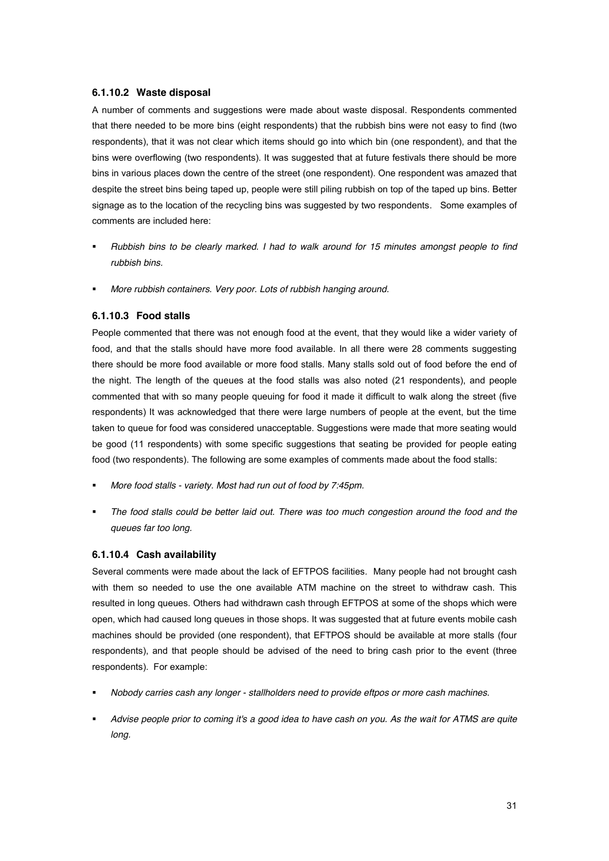#### **6.1.10.2 Waste disposal**

A number of comments and suggestions were made about waste disposal. Respondents commented that there needed to be more bins (eight respondents) that the rubbish bins were not easy to find (two respondents), that it was not clear which items should go into which bin (one respondent), and that the bins were overflowing (two respondents). It was suggested that at future festivals there should be more bins in various places down the centre of the street (one respondent). One respondent was amazed that despite the street bins being taped up, people were still piling rubbish on top of the taped up bins. Better signage as to the location of the recycling bins was suggested by two respondents. Some examples of comments are included here:

- ! *Rubbish bins to be clearly marked. I had to walk around for 15 minutes amongst people to find rubbish bins.*
- ! *More rubbish containers. Very poor. Lots of rubbish hanging around.*

#### **6.1.10.3 Food stalls**

People commented that there was not enough food at the event, that they would like a wider variety of food, and that the stalls should have more food available. In all there were 28 comments suggesting there should be more food available or more food stalls. Many stalls sold out of food before the end of the night. The length of the queues at the food stalls was also noted (21 respondents), and people commented that with so many people queuing for food it made it difficult to walk along the street (five respondents) It was acknowledged that there were large numbers of people at the event, but the time taken to queue for food was considered unacceptable. Suggestions were made that more seating would be good (11 respondents) with some specific suggestions that seating be provided for people eating food (two respondents). The following are some examples of comments made about the food stalls:

- ! *More food stalls - variety. Most had run out of food by 7:45pm.*
- ! *The food stalls could be better laid out. There was too much congestion around the food and the queues far too long.*

#### **6.1.10.4 Cash availability**

Several comments were made about the lack of EFTPOS facilities. Many people had not brought cash with them so needed to use the one available ATM machine on the street to withdraw cash. This resulted in long queues. Others had withdrawn cash through EFTPOS at some of the shops which were open, which had caused long queues in those shops. It was suggested that at future events mobile cash machines should be provided (one respondent), that EFTPOS should be available at more stalls (four respondents), and that people should be advised of the need to bring cash prior to the event (three respondents). For example:

- ! *Nobody carries cash any longer - stallholders need to provide eftpos or more cash machines.*
- ! *Advise people prior to coming it's a good idea to have cash on you. As the wait for ATMS are quite long.*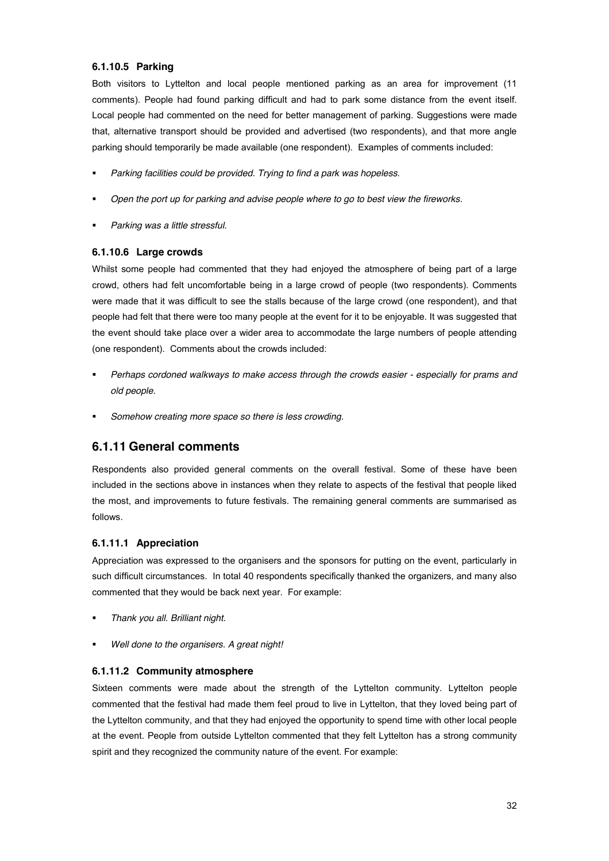#### **6.1.10.5 Parking**

Both visitors to Lyttelton and local people mentioned parking as an area for improvement (11 comments). People had found parking difficult and had to park some distance from the event itself. Local people had commented on the need for better management of parking. Suggestions were made that, alternative transport should be provided and advertised (two respondents), and that more angle parking should temporarily be made available (one respondent). Examples of comments included:

- ! *Parking facilities could be provided. Trying to find a park was hopeless*.
- ! *Open the port up for parking and advise people where to go to best view the fireworks.*
- ! *Parking was a little stressful.*

#### **6.1.10.6 Large crowds**

Whilst some people had commented that they had enjoyed the atmosphere of being part of a large crowd, others had felt uncomfortable being in a large crowd of people (two respondents). Comments were made that it was difficult to see the stalls because of the large crowd (one respondent), and that people had felt that there were too many people at the event for it to be enjoyable. It was suggested that the event should take place over a wider area to accommodate the large numbers of people attending (one respondent). Comments about the crowds included:

- ! *Perhaps cordoned walkways to make access through the crowds easier - especially for prams and old people.*
- ! *Somehow creating more space so there is less crowding.*

### **6.1.11 General comments**

Respondents also provided general comments on the overall festival. Some of these have been included in the sections above in instances when they relate to aspects of the festival that people liked the most, and improvements to future festivals. The remaining general comments are summarised as follows.

#### **6.1.11.1 Appreciation**

Appreciation was expressed to the organisers and the sponsors for putting on the event, particularly in such difficult circumstances. In total 40 respondents specifically thanked the organizers, and many also commented that they would be back next year. For example:

- ! *Thank you all. Brilliant night.*
- ! *Well done to the organisers. A great night!*

#### **6.1.11.2 Community atmosphere**

Sixteen comments were made about the strength of the Lyttelton community. Lyttelton people commented that the festival had made them feel proud to live in Lyttelton, that they loved being part of the Lyttelton community, and that they had enjoyed the opportunity to spend time with other local people at the event. People from outside Lyttelton commented that they felt Lyttelton has a strong community spirit and they recognized the community nature of the event. For example: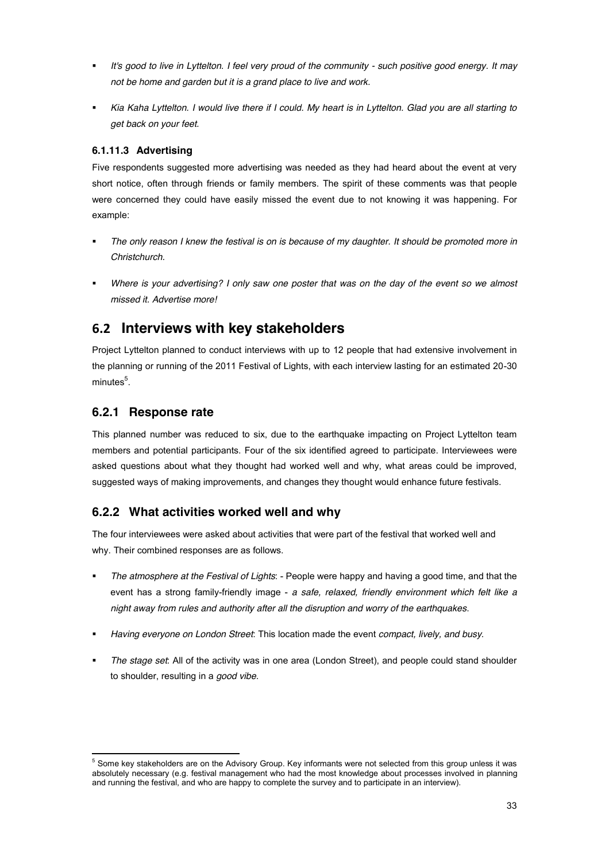- ! *It's good to live in Lyttelton. I feel very proud of the community - such positive good energy. It may not be home and garden but it is a grand place to live and work.*
- ! *Kia Kaha Lyttelton. I would live there if I could. My heart is in Lyttelton. Glad you are all starting to get back on your feet.*

#### **6.1.11.3 Advertising**

Five respondents suggested more advertising was needed as they had heard about the event at very short notice, often through friends or family members. The spirit of these comments was that people were concerned they could have easily missed the event due to not knowing it was happening. For example:

- ! *The only reason I knew the festival is on is because of my daughter. It should be promoted more in Christchurch.*
- ! *Where is your advertising? I only saw one poster that was on the day of the event so we almost missed it. Advertise more!*

## **6.2 Interviews with key stakeholders**

Project Lyttelton planned to conduct interviews with up to 12 people that had extensive involvement in the planning or running of the 2011 Festival of Lights, with each interview lasting for an estimated 20-30 minutes $^5$ .

## **6.2.1 Response rate**

This planned number was reduced to six, due to the earthquake impacting on Project Lyttelton team members and potential participants. Four of the six identified agreed to participate. Interviewees were asked questions about what they thought had worked well and why, what areas could be improved, suggested ways of making improvements, and changes they thought would enhance future festivals.

## **6.2.2 What activities worked well and why**

The four interviewees were asked about activities that were part of the festival that worked well and why. Their combined responses are as follows.

- ! *The atmosphere at the Festival of Lights*: People were happy and having a good time, and that the event has a strong family-friendly image - *a safe, relaxed, friendly environment which felt like a night away from rules and authority after all the disruption and worry of the earthquakes*.
- ! *Having everyone on London Street*: This location made the event *compact, lively, and busy*.
- ! *The stage set*: All of the activity was in one area (London Street), and people could stand shoulder to shoulder, resulting in a *good vibe*.

 $5$  Some key stakeholders are on the Advisory Group. Key informants were not selected from this group unless it was absolutely necessary (e.g. festival management who had the most knowledge about processes involved in planning and running the festival, and who are happy to complete the survey and to participate in an interview).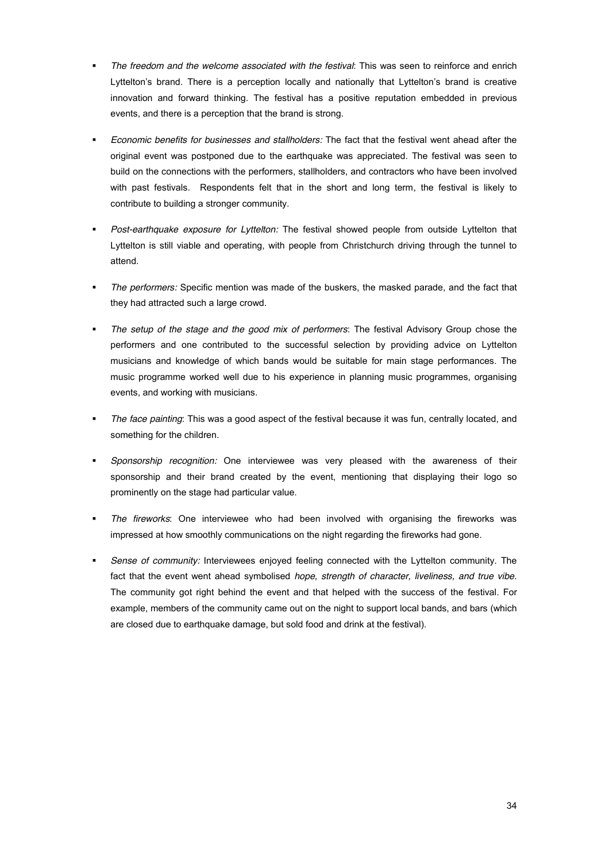- ! *The freedom and the welcome associated with the festival*: This was seen to reinforce and enrich Lyttelton's brand. There is a perception locally and nationally that Lyttelton's brand is creative innovation and forward thinking. The festival has a positive reputation embedded in previous events, and there is a perception that the brand is strong.
- ! *Economic benefits for businesses and stallholders:* The fact that the festival went ahead after the original event was postponed due to the earthquake was appreciated. The festival was seen to build on the connections with the performers, stallholders, and contractors who have been involved with past festivals. Respondents felt that in the short and long term, the festival is likely to contribute to building a stronger community.
- ! *Post-earthquake exposure for Lyttelton:* The festival showed people from outside Lyttelton that Lyttelton is still viable and operating, with people from Christchurch driving through the tunnel to attend.
- ! *The performers:* Specific mention was made of the buskers, the masked parade, and the fact that they had attracted such a large crowd.
- ! *The setup of the stage and the good mix of performers*: The festival Advisory Group chose the performers and one contributed to the successful selection by providing advice on Lyttelton musicians and knowledge of which bands would be suitable for main stage performances. The music programme worked well due to his experience in planning music programmes, organising events, and working with musicians.
- ! *The face painting*: This was a good aspect of the festival because it was fun, centrally located, and something for the children.
- ! *Sponsorship recognition:* One interviewee was very pleased with the awareness of their sponsorship and their brand created by the event, mentioning that displaying their logo so prominently on the stage had particular value.
- ! *The fireworks*: One interviewee who had been involved with organising the fireworks was impressed at how smoothly communications on the night regarding the fireworks had gone.
- Sense of community: Interviewees enjoyed feeling connected with the Lyttelton community. The fact that the event went ahead symbolised *hope, strength of character, liveliness, and true vibe*. The community got right behind the event and that helped with the success of the festival. For example, members of the community came out on the night to support local bands, and bars (which are closed due to earthquake damage, but sold food and drink at the festival).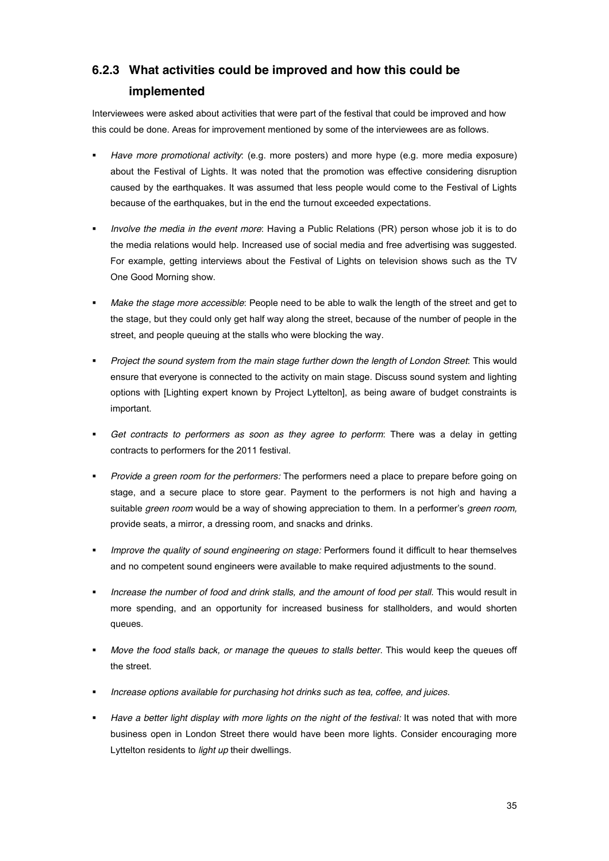# **6.2.3 What activities could be improved and how this could be implemented**

Interviewees were asked about activities that were part of the festival that could be improved and how this could be done. Areas for improvement mentioned by some of the interviewees are as follows.

- ! *Have more promotional activity*: (e.g. more posters) and more hype (e.g. more media exposure) about the Festival of Lights. It was noted that the promotion was effective considering disruption caused by the earthquakes. It was assumed that less people would come to the Festival of Lights because of the earthquakes, but in the end the turnout exceeded expectations.
- ! *Involve the media in the event more*: Having a Public Relations (PR) person whose job it is to do the media relations would help. Increased use of social media and free advertising was suggested. For example, getting interviews about the Festival of Lights on television shows such as the TV One Good Morning show.
- ! *Make the stage more accessible*: People need to be able to walk the length of the street and get to the stage, but they could only get half way along the street, because of the number of people in the street, and people queuing at the stalls who were blocking the way.
- ! *Project the sound system from the main stage further down the length of London Street*: This would ensure that everyone is connected to the activity on main stage. Discuss sound system and lighting options with [Lighting expert known by Project Lyttelton], as being aware of budget constraints is important.
- ! *Get contracts to performers as soon as they agree to perform*: There was a delay in getting contracts to performers for the 2011 festival.
- ! *Provide a green room for the performers:* The performers need a place to prepare before going on stage, and a secure place to store gear. Payment to the performers is not high and having a suitable *green room* would be a way of showing appreciation to them. In a performer's *green room*, provide seats, a mirror, a dressing room, and snacks and drinks.
- ! *Improve the quality of sound engineering on stage:* Performers found it difficult to hear themselves and no competent sound engineers were available to make required adjustments to the sound.
- **.** *Increase the number of food and drink stalls, and the amount of food per stall.* This would result in more spending, and an opportunity for increased business for stallholders, and would shorten queues.
- ! *Move the food stalls back, or manage the queues to stalls better*. This would keep the queues off the street.
- ! *Increase options available for purchasing hot drinks such as tea, coffee, and juices.*
- Have a better light display with more lights on the night of the festival: It was noted that with more business open in London Street there would have been more lights. Consider encouraging more Lyttelton residents to *light up* their dwellings.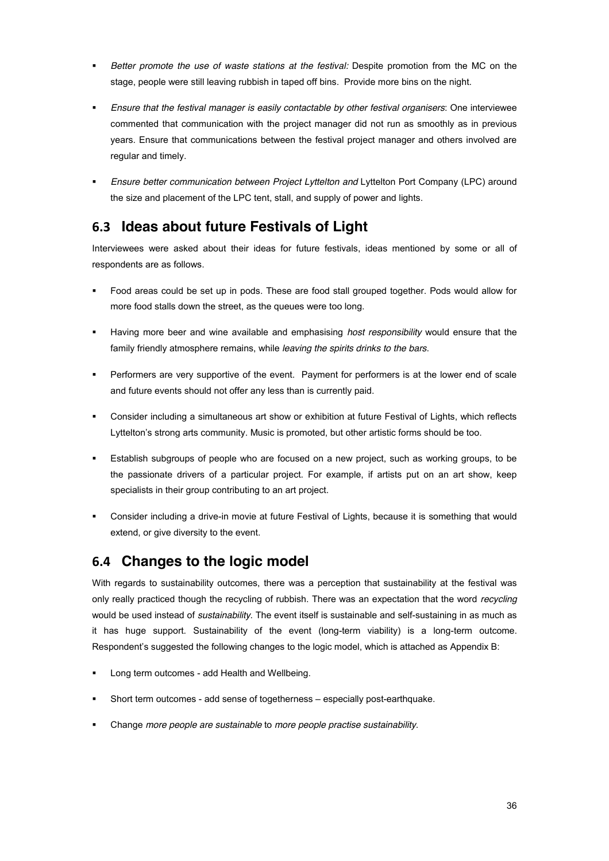- ! *Better promote the use of waste stations at the festival:* Despite promotion from the MC on the stage, people were still leaving rubbish in taped off bins. Provide more bins on the night.
- ! *Ensure that the festival manager is easily contactable by other festival organisers*: One interviewee commented that communication with the project manager did not run as smoothly as in previous years. Ensure that communications between the festival project manager and others involved are regular and timely.
- ! *Ensure better communication between Project Lyttelton and* Lyttelton Port Company (LPC) around the size and placement of the LPC tent, stall, and supply of power and lights.

## **6.3 Ideas about future Festivals of Light**

Interviewees were asked about their ideas for future festivals, ideas mentioned by some or all of respondents are as follows.

- ! Food areas could be set up in pods. These are food stall grouped together. Pods would allow for more food stalls down the street, as the queues were too long.
- ! Having more beer and wine available and emphasising *host responsibility* would ensure that the family friendly atmosphere remains, while *leaving the spirits drinks to the bars*.
- ! Performers are very supportive of the event. Payment for performers is at the lower end of scale and future events should not offer any less than is currently paid.
- ! Consider including a simultaneous art show or exhibition at future Festival of Lights, which reflects Lyttelton's strong arts community. Music is promoted, but other artistic forms should be too.
- Establish subgroups of people who are focused on a new project, such as working groups, to be the passionate drivers of a particular project. For example, if artists put on an art show, keep specialists in their group contributing to an art project.
- ! Consider including a drive-in movie at future Festival of Lights, because it is something that would extend, or give diversity to the event.

## **6.4 Changes to the logic model**

With regards to sustainability outcomes, there was a perception that sustainability at the festival was only really practiced though the recycling of rubbish. There was an expectation that the word *recycling* would be used instead of *sustainability*. The event itself is sustainable and self-sustaining in as much as it has huge support. Sustainability of the event (long-term viability) is a long-term outcome. Respondent's suggested the following changes to the logic model, which is attached as Appendix B:

- Long term outcomes add Health and Wellbeing.
- Short term outcomes add sense of togetherness especially post-earthquake.
- ! Change *more people are sustainable* to *more people practise sustainability*.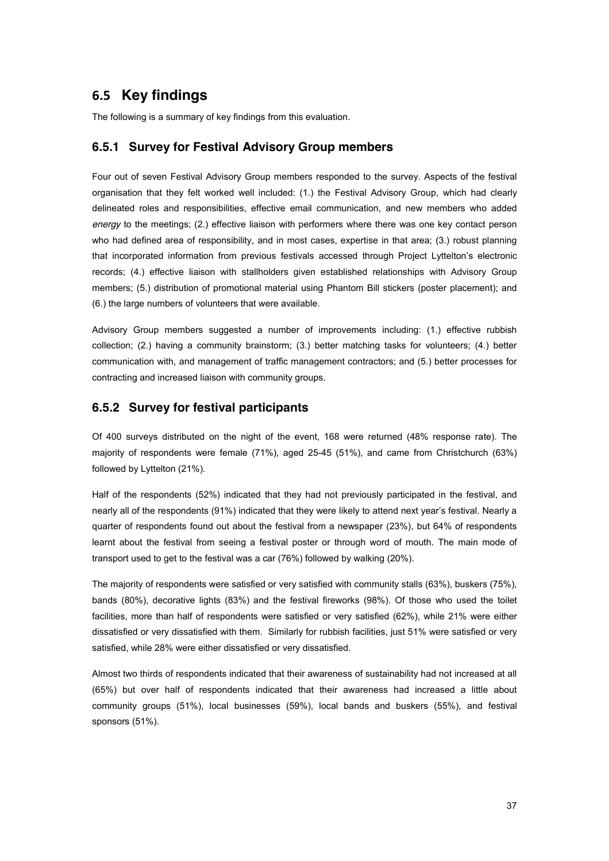## **6.5 Key findings**

The following is a summary of key findings from this evaluation.

### **6.5.1 Survey for Festival Advisory Group members**

Four out of seven Festival Advisory Group members responded to the survey. Aspects of the festival organisation that they felt worked well included: (1.) the Festival Advisory Group, which had clearly delineated roles and responsibilities, effective email communication, and new members who added *energy* to the meetings; (2.) effective liaison with performers where there was one key contact person who had defined area of responsibility, and in most cases, expertise in that area; (3.) robust planning that incorporated information from previous festivals accessed through Project Lyttelton's electronic records; (4.) effective liaison with stallholders given established relationships with Advisory Group members; (5.) distribution of promotional material using Phantom Bill stickers (poster placement); and (6.) the large numbers of volunteers that were available.

Advisory Group members suggested a number of improvements including: (1.) effective rubbish collection; (2.) having a community brainstorm; (3.) better matching tasks for volunteers; (4.) better communication with, and management of traffic management contractors; and (5.) better processes for contracting and increased liaison with community groups.

#### **6.5.2 Survey for festival participants**

Of 400 surveys distributed on the night of the event, 168 were returned (48% response rate). The majority of respondents were female (71%), aged 25-45 (51%), and came from Christchurch (63%) followed by Lyttelton (21%).

Half of the respondents (52%) indicated that they had not previously participated in the festival, and nearly all of the respondents (91%) indicated that they were likely to attend next year's festival. Nearly a quarter of respondents found out about the festival from a newspaper (23%), but 64% of respondents learnt about the festival from seeing a festival poster or through word of mouth. The main mode of transport used to get to the festival was a car (76%) followed by walking (20%).

The majority of respondents were satisfied or very satisfied with community stalls (63%), buskers (75%), bands (80%), decorative lights (83%) and the festival fireworks (98%). Of those who used the toilet facilities, more than half of respondents were satisfied or very satisfied (62%), while 21% were either dissatisfied or very dissatisfied with them. Similarly for rubbish facilities, just 51% were satisfied or very satisfied, while 28% were either dissatisfied or very dissatisfied.

Almost two thirds of respondents indicated that their awareness of sustainability had not increased at all (65%) but over half of respondents indicated that their awareness had increased a little about community groups (51%), local businesses (59%), local bands and buskers (55%), and festival sponsors (51%).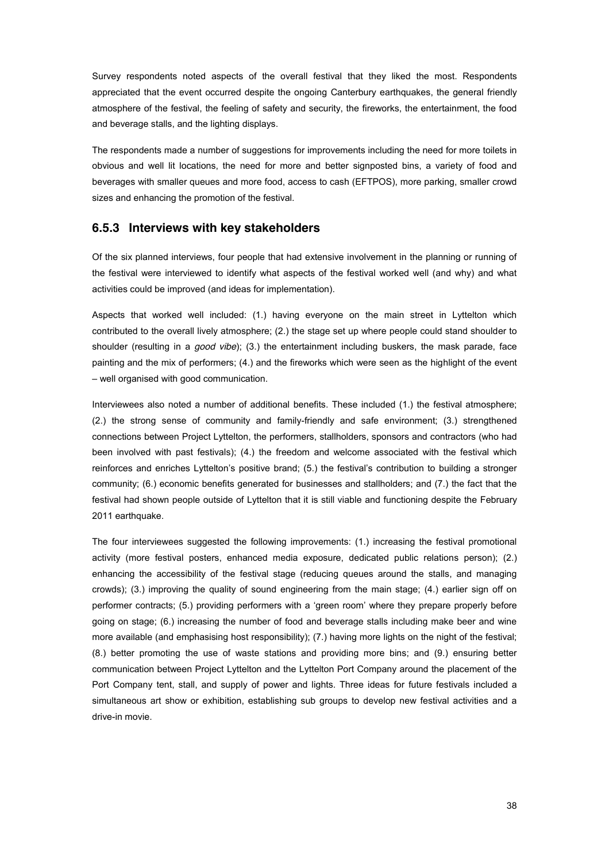Survey respondents noted aspects of the overall festival that they liked the most. Respondents appreciated that the event occurred despite the ongoing Canterbury earthquakes, the general friendly atmosphere of the festival, the feeling of safety and security, the fireworks, the entertainment, the food and beverage stalls, and the lighting displays.

The respondents made a number of suggestions for improvements including the need for more toilets in obvious and well lit locations, the need for more and better signposted bins, a variety of food and beverages with smaller queues and more food, access to cash (EFTPOS), more parking, smaller crowd sizes and enhancing the promotion of the festival.

#### **6.5.3 Interviews with key stakeholders**

Of the six planned interviews, four people that had extensive involvement in the planning or running of the festival were interviewed to identify what aspects of the festival worked well (and why) and what activities could be improved (and ideas for implementation).

Aspects that worked well included: (1.) having everyone on the main street in Lyttelton which contributed to the overall lively atmosphere; (2.) the stage set up where people could stand shoulder to shoulder (resulting in a *good vibe*); (3.) the entertainment including buskers, the mask parade, face painting and the mix of performers; (4.) and the fireworks which were seen as the highlight of the event - well organised with good communication.

Interviewees also noted a number of additional benefits. These included (1.) the festival atmosphere; (2.) the strong sense of community and family-friendly and safe environment; (3.) strengthened connections between Project Lyttelton, the performers, stallholders, sponsors and contractors (who had been involved with past festivals); (4.) the freedom and welcome associated with the festival which reinforces and enriches Lyttelton's positive brand;  $(5)$  the festival's contribution to building a stronger community; (6.) economic benefits generated for businesses and stallholders; and (7.) the fact that the festival had shown people outside of Lyttelton that it is still viable and functioning despite the February 2011 earthquake.

The four interviewees suggested the following improvements: (1.) increasing the festival promotional activity (more festival posters, enhanced media exposure, dedicated public relations person); (2.) enhancing the accessibility of the festival stage (reducing queues around the stalls, and managing crowds); (3.) improving the quality of sound engineering from the main stage; (4.) earlier sign off on performer contracts; (5.) providing performers with a 'green room' where they prepare properly before going on stage; (6.) increasing the number of food and beverage stalls including make beer and wine more available (and emphasising host responsibility); (7.) having more lights on the night of the festival; (8.) better promoting the use of waste stations and providing more bins; and (9.) ensuring better communication between Project Lyttelton and the Lyttelton Port Company around the placement of the Port Company tent, stall, and supply of power and lights. Three ideas for future festivals included a simultaneous art show or exhibition, establishing sub groups to develop new festival activities and a drive-in movie.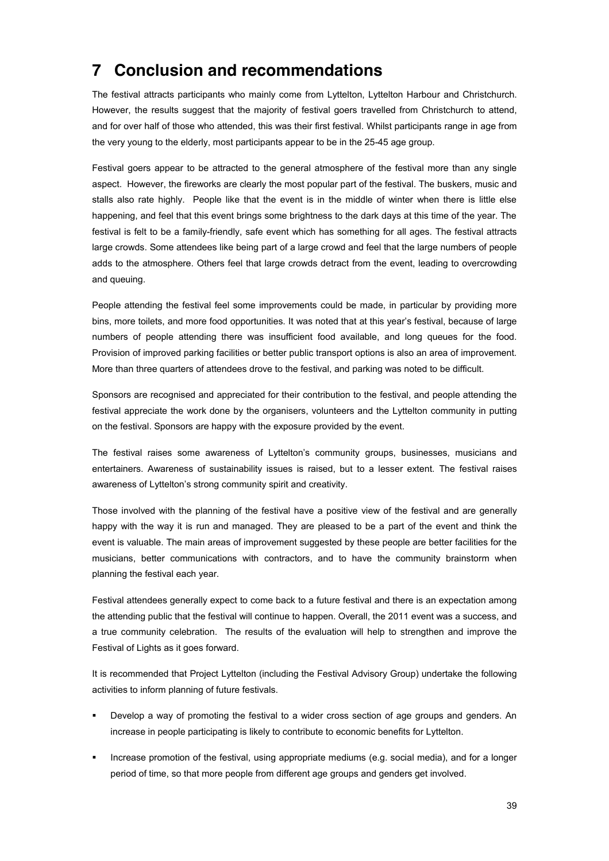# **7 Conclusion and recommendations**

The festival attracts participants who mainly come from Lyttelton, Lyttelton Harbour and Christchurch. However, the results suggest that the majority of festival goers travelled from Christchurch to attend, and for over half of those who attended, this was their first festival. Whilst participants range in age from the very young to the elderly, most participants appear to be in the 25-45 age group.

Festival goers appear to be attracted to the general atmosphere of the festival more than any single aspect. However, the fireworks are clearly the most popular part of the festival. The buskers, music and stalls also rate highly. People like that the event is in the middle of winter when there is little else happening, and feel that this event brings some brightness to the dark days at this time of the year. The festival is felt to be a family-friendly, safe event which has something for all ages. The festival attracts large crowds. Some attendees like being part of a large crowd and feel that the large numbers of people adds to the atmosphere. Others feel that large crowds detract from the event, leading to overcrowding and queuing.

People attending the festival feel some improvements could be made, in particular by providing more bins, more toilets, and more food opportunities. It was noted that at this year's festival, because of large numbers of people attending there was insufficient food available, and long queues for the food. Provision of improved parking facilities or better public transport options is also an area of improvement. More than three quarters of attendees drove to the festival, and parking was noted to be difficult.

Sponsors are recognised and appreciated for their contribution to the festival, and people attending the festival appreciate the work done by the organisers, volunteers and the Lyttelton community in putting on the festival. Sponsors are happy with the exposure provided by the event.

The festival raises some awareness of Lyttelton's community groups, businesses, musicians and entertainers. Awareness of sustainability issues is raised, but to a lesser extent. The festival raises awareness of Lyttelton's strong community spirit and creativity.

Those involved with the planning of the festival have a positive view of the festival and are generally happy with the way it is run and managed. They are pleased to be a part of the event and think the event is valuable. The main areas of improvement suggested by these people are better facilities for the musicians, better communications with contractors, and to have the community brainstorm when planning the festival each year.

Festival attendees generally expect to come back to a future festival and there is an expectation among the attending public that the festival will continue to happen. Overall, the 2011 event was a success, and a true community celebration. The results of the evaluation will help to strengthen and improve the Festival of Lights as it goes forward.

It is recommended that Project Lyttelton (including the Festival Advisory Group) undertake the following activities to inform planning of future festivals.

- Develop a way of promoting the festival to a wider cross section of age groups and genders. An increase in people participating is likely to contribute to economic benefits for Lyttelton.
- ! Increase promotion of the festival, using appropriate mediums (e.g. social media), and for a longer period of time, so that more people from different age groups and genders get involved.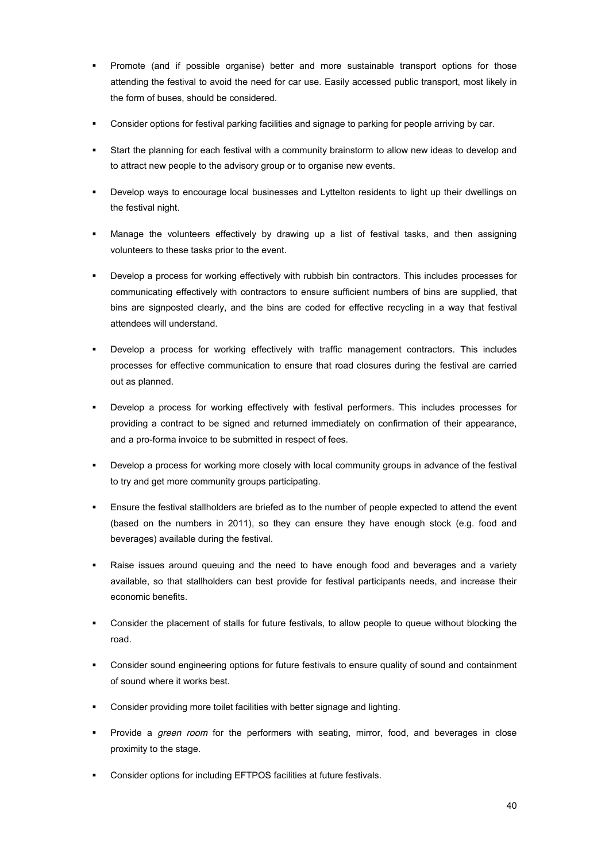- ! Promote (and if possible organise) better and more sustainable transport options for those attending the festival to avoid the need for car use. Easily accessed public transport, most likely in the form of buses, should be considered.
- ! Consider options for festival parking facilities and signage to parking for people arriving by car.
- Start the planning for each festival with a community brainstorm to allow new ideas to develop and to attract new people to the advisory group or to organise new events.
- Develop ways to encourage local businesses and Lyttelton residents to light up their dwellings on the festival night.
- Manage the volunteers effectively by drawing up a list of festival tasks, and then assigning volunteers to these tasks prior to the event.
- Develop a process for working effectively with rubbish bin contractors. This includes processes for communicating effectively with contractors to ensure sufficient numbers of bins are supplied, that bins are signposted clearly, and the bins are coded for effective recycling in a way that festival attendees will understand.
- Develop a process for working effectively with traffic management contractors. This includes processes for effective communication to ensure that road closures during the festival are carried out as planned.
- ! Develop a process for working effectively with festival performers. This includes processes for providing a contract to be signed and returned immediately on confirmation of their appearance, and a pro-forma invoice to be submitted in respect of fees.
- ! Develop a process for working more closely with local community groups in advance of the festival to try and get more community groups participating.
- Ensure the festival stallholders are briefed as to the number of people expected to attend the event (based on the numbers in 2011), so they can ensure they have enough stock (e.g. food and beverages) available during the festival.
- Raise issues around queuing and the need to have enough food and beverages and a variety available, so that stallholders can best provide for festival participants needs, and increase their economic benefits.
- Consider the placement of stalls for future festivals, to allow people to queue without blocking the road.
- ! Consider sound engineering options for future festivals to ensure quality of sound and containment of sound where it works best.
- ! Consider providing more toilet facilities with better signage and lighting.
- ! Provide a *green room* for the performers with seating, mirror, food, and beverages in close proximity to the stage.
- ! Consider options for including EFTPOS facilities at future festivals.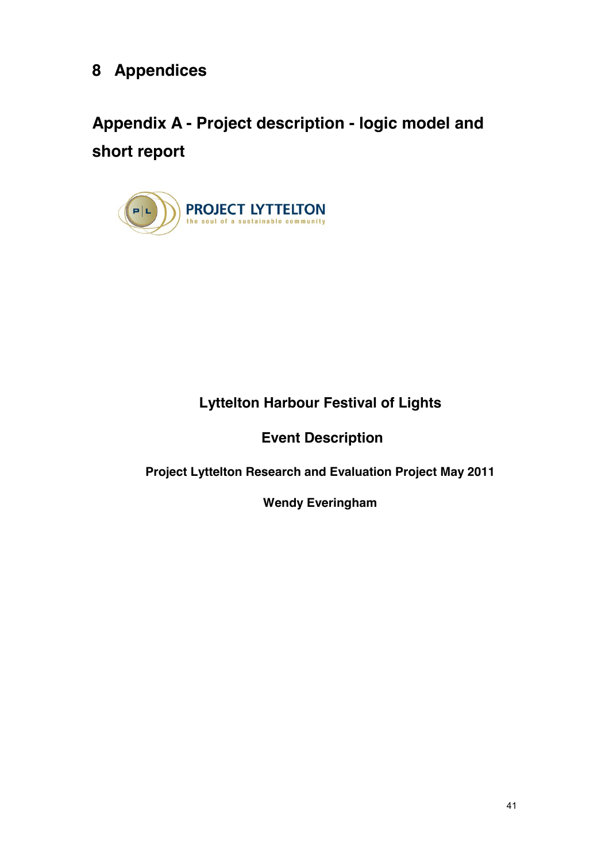# **8 Appendices**

# **Appendix A - Project description - logic model and short report**



# **Lyttelton Harbour Festival of Lights**

**Event Description**

**Project Lyttelton Research and Evaluation Project May 2011**

**Wendy Everingham**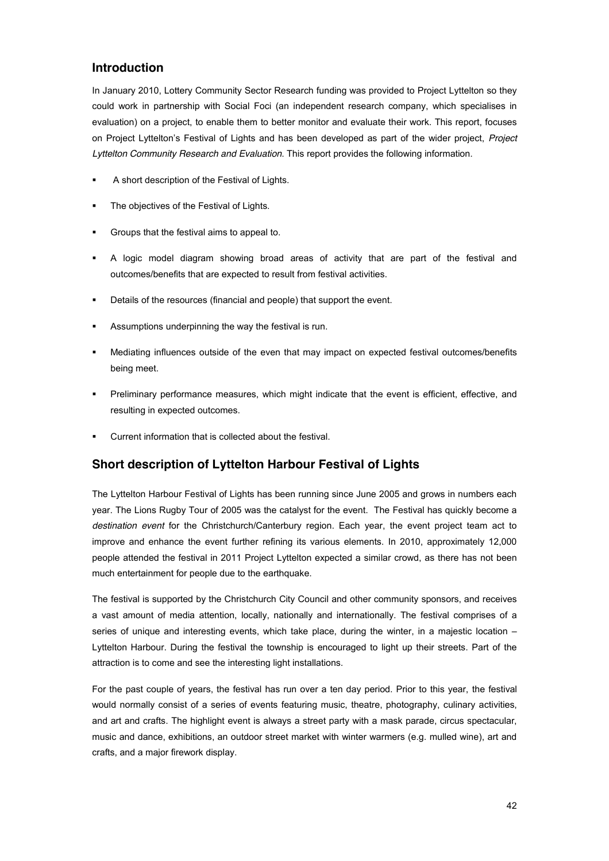## **Introduction**

In January 2010, Lottery Community Sector Research funding was provided to Project Lyttelton so they could work in partnership with Social Foci (an independent research company, which specialises in evaluation) on a project, to enable them to better monitor and evaluate their work. This report, focuses on Project Lyttelton's Festival of Lights and has been developed as part of the wider project, Project *Lyttelton Community Research and Evaluation*. This report provides the following information.

- A short description of the Festival of Lights.
- The objectives of the Festival of Lights.
- ! Groups that the festival aims to appeal to.
- ! A logic model diagram showing broad areas of activity that are part of the festival and outcomes/benefits that are expected to result from festival activities.
- ! Details of the resources (financial and people) that support the event.
- ! Assumptions underpinning the way the festival is run.
- ! Mediating influences outside of the even that may impact on expected festival outcomes/benefits being meet.
- Preliminary performance measures, which might indicate that the event is efficient, effective, and resulting in expected outcomes.
- ! Current information that is collected about the festival.

## **Short description of Lyttelton Harbour Festival of Lights**

The Lyttelton Harbour Festival of Lights has been running since June 2005 and grows in numbers each year. The Lions Rugby Tour of 2005 was the catalyst for the event. The Festival has quickly become a *destination event* for the Christchurch/Canterbury region. Each year, the event project team act to improve and enhance the event further refining its various elements. In 2010, approximately 12,000 people attended the festival in 2011 Project Lyttelton expected a similar crowd, as there has not been much entertainment for people due to the earthquake.

The festival is supported by the Christchurch City Council and other community sponsors, and receives a vast amount of media attention, locally, nationally and internationally. The festival comprises of a series of unique and interesting events, which take place, during the winter, in a majestic location  $-$ Lyttelton Harbour. During the festival the township is encouraged to light up their streets. Part of the attraction is to come and see the interesting light installations.

For the past couple of years, the festival has run over a ten day period. Prior to this year, the festival would normally consist of a series of events featuring music, theatre, photography, culinary activities, and art and crafts. The highlight event is always a street party with a mask parade, circus spectacular, music and dance, exhibitions, an outdoor street market with winter warmers (e.g. mulled wine), art and crafts, and a major firework display.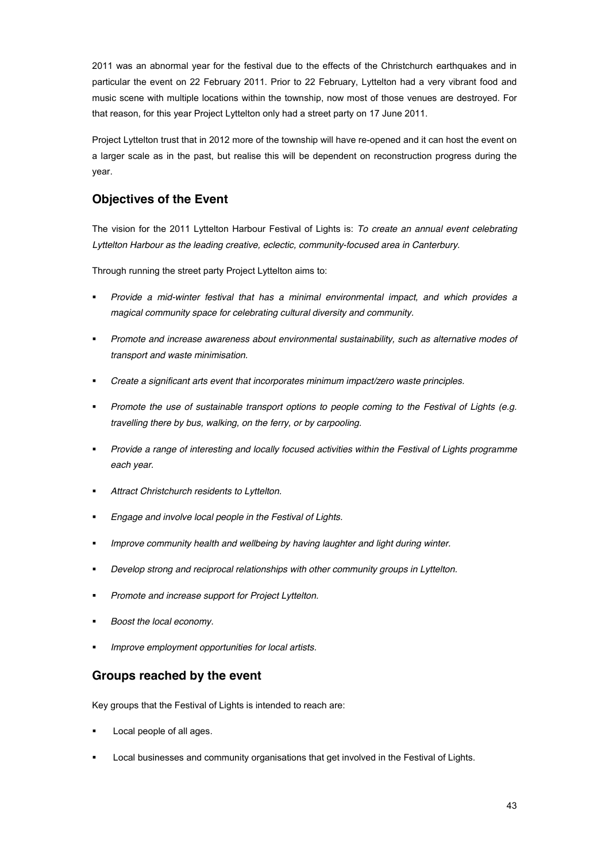2011 was an abnormal year for the festival due to the effects of the Christchurch earthquakes and in particular the event on 22 February 2011. Prior to 22 February, Lyttelton had a very vibrant food and music scene with multiple locations within the township, now most of those venues are destroyed. For that reason, for this year Project Lyttelton only had a street party on 17 June 2011.

Project Lyttelton trust that in 2012 more of the township will have re-opened and it can host the event on a larger scale as in the past, but realise this will be dependent on reconstruction progress during the year.

## **Objectives of the Event**

The vision for the 2011 Lyttelton Harbour Festival of Lights is: *To create an annual event celebrating Lyttelton Harbour as the leading creative, eclectic, community-focused area in Canterbury*.

Through running the street party Project Lyttelton aims to:

- ! *Provide a mid-winter festival that has a minimal environmental impact, and which provides a magical community space for celebrating cultural diversity and community.*
- ! *Promote and increase awareness about environmental sustainability, such as alternative modes of transport and waste minimisation.*
- ! *Create a significant arts event that incorporates minimum impact/zero waste principles.*
- ! *Promote the use of sustainable transport options to people coming to the Festival of Lights (e.g. travelling there by bus, walking, on the ferry, or by carpooling.*
- ! *Provide a range of interesting and locally focused activities within the Festival of Lights programme each year.*
- ! *Attract Christchurch residents to Lyttelton.*
- ! *Engage and involve local people in the Festival of Lights.*
- ! *Improve community health and wellbeing by having laughter and light during winter.*
- ! *Develop strong and reciprocal relationships with other community groups in Lyttelton.*
- ! *Promote and increase support for Project Lyttelton.*
- ! *Boost the local economy.*
- ! *Improve employment opportunities for local artists.*

## **Groups reached by the event**

Key groups that the Festival of Lights is intended to reach are:

- Local people of all ages.
- Local businesses and community organisations that get involved in the Festival of Lights.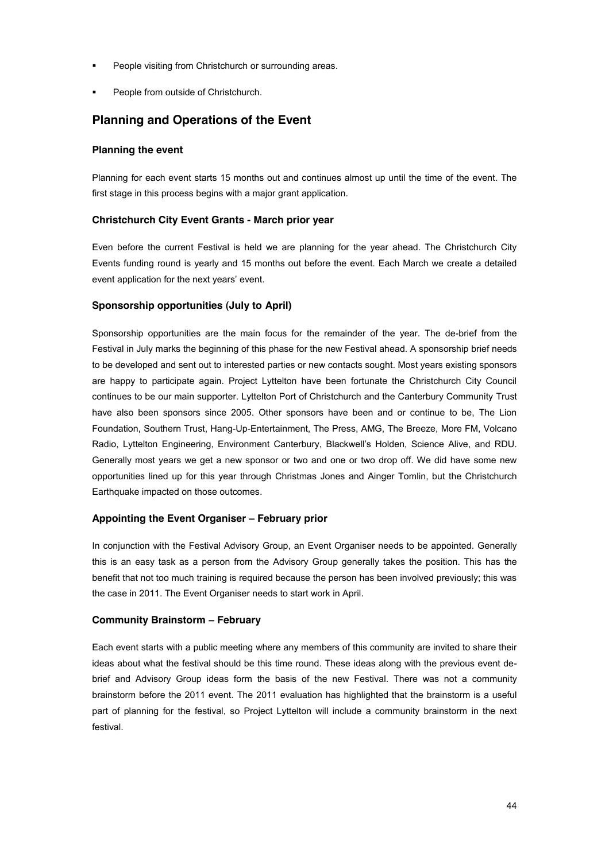- People visiting from Christchurch or surrounding areas.
- People from outside of Christchurch.

## **Planning and Operations of the Event**

#### **Planning the event**

Planning for each event starts 15 months out and continues almost up until the time of the event. The first stage in this process begins with a major grant application.

#### **Christchurch City Event Grants - March prior year**

Even before the current Festival is held we are planning for the year ahead. The Christchurch City Events funding round is yearly and 15 months out before the event. Each March we create a detailed event application for the next years' event.

#### **Sponsorship opportunities (July to April)**

Sponsorship opportunities are the main focus for the remainder of the year. The de-brief from the Festival in July marks the beginning of this phase for the new Festival ahead. A sponsorship brief needs to be developed and sent out to interested parties or new contacts sought. Most years existing sponsors are happy to participate again. Project Lyttelton have been fortunate the Christchurch City Council continues to be our main supporter. Lyttelton Port of Christchurch and the Canterbury Community Trust have also been sponsors since 2005. Other sponsors have been and or continue to be, The Lion Foundation, Southern Trust, Hang-Up-Entertainment, The Press, AMG, The Breeze, More FM, Volcano Radio, Lyttelton Engineering, Environment Canterbury, Blackwell's Holden, Science Alive, and RDU. Generally most years we get a new sponsor or two and one or two drop off. We did have some new opportunities lined up for this year through Christmas Jones and Ainger Tomlin, but the Christchurch Earthquake impacted on those outcomes.

#### **Appointing the Event Organiser ! February prior**

In conjunction with the Festival Advisory Group, an Event Organiser needs to be appointed. Generally this is an easy task as a person from the Advisory Group generally takes the position. This has the benefit that not too much training is required because the person has been involved previously; this was the case in 2011. The Event Organiser needs to start work in April.

#### **Community Brainstorm ! February**

Each event starts with a public meeting where any members of this community are invited to share their ideas about what the festival should be this time round. These ideas along with the previous event debrief and Advisory Group ideas form the basis of the new Festival. There was not a community brainstorm before the 2011 event. The 2011 evaluation has highlighted that the brainstorm is a useful part of planning for the festival, so Project Lyttelton will include a community brainstorm in the next festival.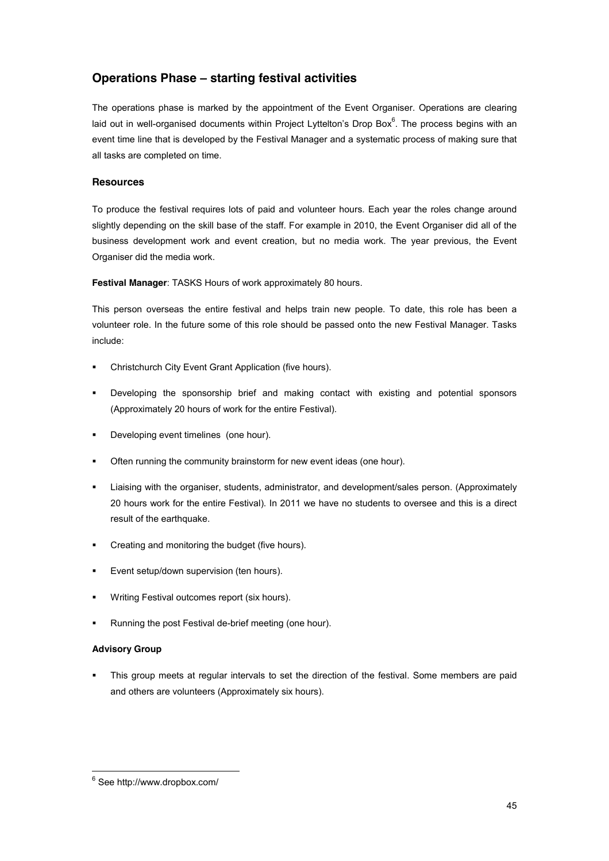## **Operations Phase ! starting festival activities**

The operations phase is marked by the appointment of the Event Organiser. Operations are clearing laid out in well-organised documents within Project Lyttelton's Drop Box<sup>6</sup>. The process begins with an event time line that is developed by the Festival Manager and a systematic process of making sure that all tasks are completed on time.

#### **Resources**

To produce the festival requires lots of paid and volunteer hours. Each year the roles change around slightly depending on the skill base of the staff. For example in 2010, the Event Organiser did all of the business development work and event creation, but no media work. The year previous, the Event Organiser did the media work.

**Festival Manager**: TASKS Hours of work approximately 80 hours.

This person overseas the entire festival and helps train new people. To date, this role has been a volunteer role. In the future some of this role should be passed onto the new Festival Manager. Tasks include:

- ! Christchurch City Event Grant Application (five hours).
- Developing the sponsorship brief and making contact with existing and potential sponsors (Approximately 20 hours of work for the entire Festival).
- ! Developing event timelines (one hour).
- ! Often running the community brainstorm for new event ideas (one hour).
- ! Liaising with the organiser, students, administrator, and development/sales person. (Approximately 20 hours work for the entire Festival). In 2011 we have no students to oversee and this is a direct result of the earthquake.
- ! Creating and monitoring the budget (five hours).
- Event setup/down supervision (ten hours).
- Writing Festival outcomes report (six hours).
- Running the post Festival de-brief meeting (one hour).

#### **Advisory Group**

! This group meets at regular intervals to set the direction of the festival. Some members are paid and others are volunteers (Approximately six hours).

 $6$  See http://www.dropbox.com/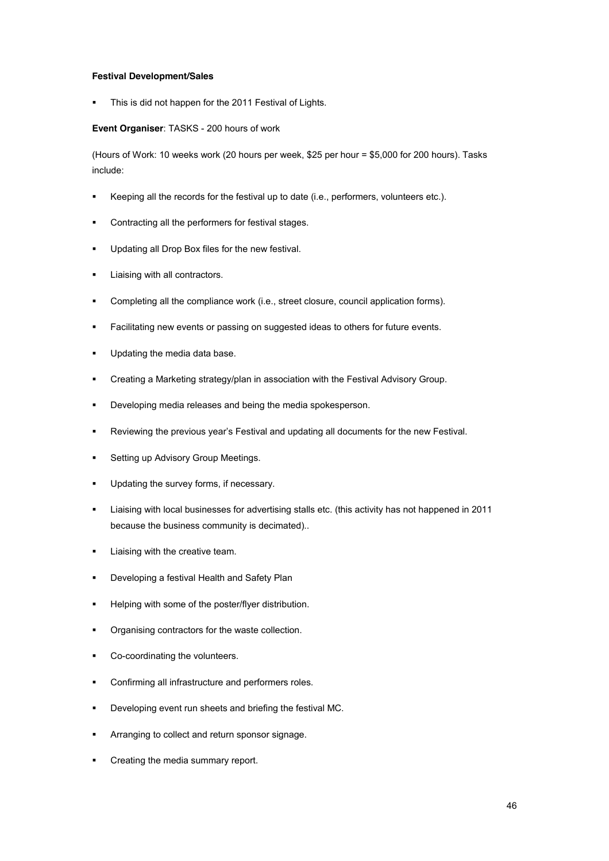#### **Festival Development/Sales**

This is did not happen for the 2011 Festival of Lights.

**Event Organiser**: TASKS - 200 hours of work

(Hours of Work: 10 weeks work (20 hours per week, \$25 per hour = \$5,000 for 200 hours). Tasks include:

- ! Keeping all the records for the festival up to date (i.e., performers, volunteers etc.).
- Contracting all the performers for festival stages.
- ! Updating all Drop Box files for the new festival.
- **EXECUTE:** Liaising with all contractors.
- ! Completing all the compliance work (i.e., street closure, council application forms).
- ! Facilitating new events or passing on suggested ideas to others for future events.
- **Updating the media data base.**
- ! Creating a Marketing strategy/plan in association with the Festival Advisory Group.
- ! Developing media releases and being the media spokesperson.
- . Reviewing the previous year's Festival and updating all documents for the new Festival.
- **EXECUTE:** Setting up Advisory Group Meetings.
- **.** Updating the survey forms, if necessary.
- ! Liaising with local businesses for advertising stalls etc. (this activity has not happened in 2011 because the business community is decimated)..
- **EXECUTE:** Liaising with the creative team.
- **EXEDENCIOL** Developing a festival Health and Safety Plan
- ! Helping with some of the poster/flyer distribution.
- ! Organising contractors for the waste collection.
- ! Co-coordinating the volunteers.
- ! Confirming all infrastructure and performers roles.
- ! Developing event run sheets and briefing the festival MC.
- ! Arranging to collect and return sponsor signage.
- Creating the media summary report.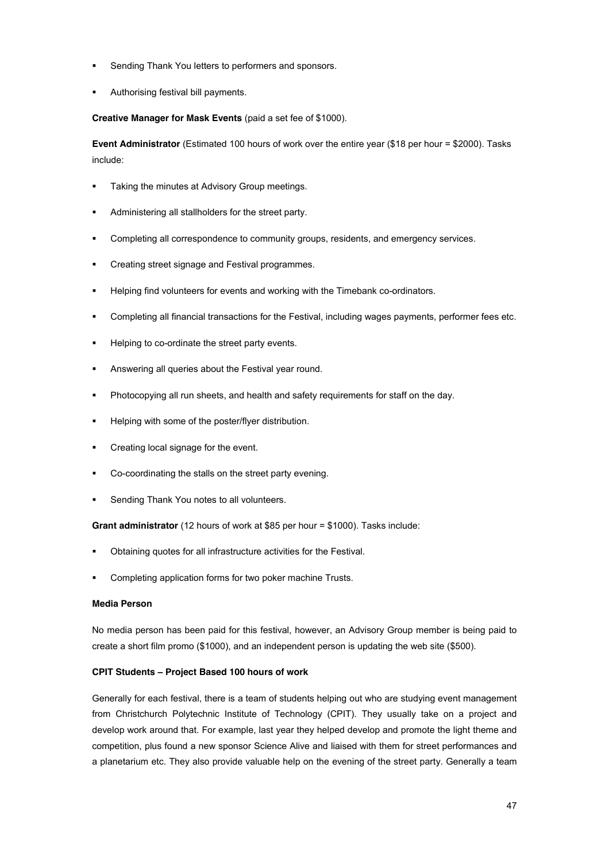- Sending Thank You letters to performers and sponsors.
- Authorising festival bill payments.

**Creative Manager for Mask Events** (paid a set fee of \$1000).

**Event Administrator** (Estimated 100 hours of work over the entire year (\$18 per hour = \$2000). Tasks include:

- **EXECT:** Taking the minutes at Advisory Group meetings.
- Administering all stallholders for the street party.
- Completing all correspondence to community groups, residents, and emergency services.
- ! Creating street signage and Festival programmes.
- Helping find volunteers for events and working with the Timebank co-ordinators.
- ! Completing all financial transactions for the Festival, including wages payments, performer fees etc.
- Helping to co-ordinate the street party events.
- ! Answering all queries about the Festival year round.
- **Photocopying all run sheets, and health and safety requirements for staff on the day.**
- ! Helping with some of the poster/flyer distribution.
- Creating local signage for the event.
- ! Co-coordinating the stalls on the street party evening.
- Sending Thank You notes to all volunteers.

**Grant administrator** (12 hours of work at \$85 per hour = \$1000). Tasks include:

- ! Obtaining quotes for all infrastructure activities for the Festival.
- ! Completing application forms for two poker machine Trusts.

#### **Media Person**

No media person has been paid for this festival, however, an Advisory Group member is being paid to create a short film promo (\$1000), and an independent person is updating the web site (\$500).

#### **CPIT Students ! Project Based 100 hours of work**

Generally for each festival, there is a team of students helping out who are studying event management from Christchurch Polytechnic Institute of Technology (CPIT). They usually take on a project and develop work around that. For example, last year they helped develop and promote the light theme and competition, plus found a new sponsor Science Alive and liaised with them for street performances and a planetarium etc. They also provide valuable help on the evening of the street party. Generally a team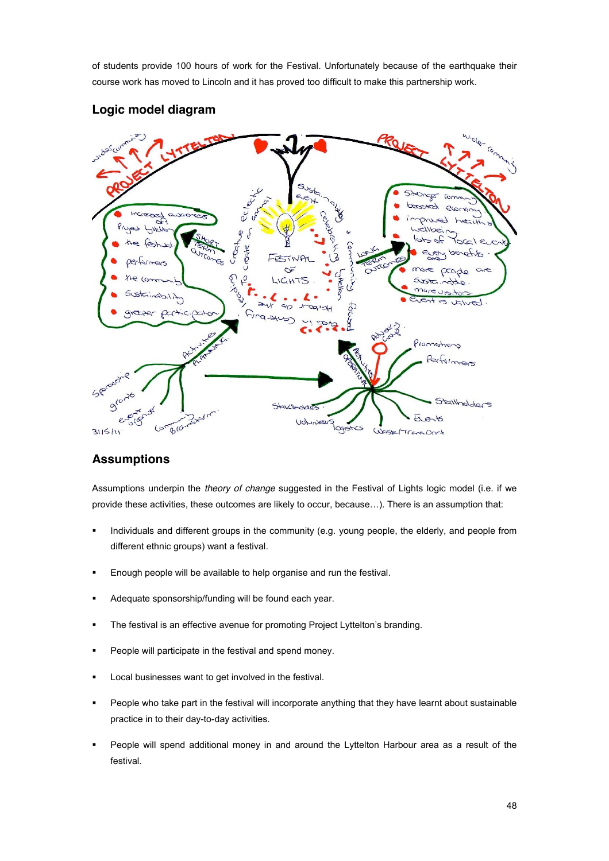of students provide 100 hours of work for the Festival. Unfortunately because of the earthquake their course work has moved to Lincoln and it has proved too difficult to make this partnership work.



## **Logic model diagram**

## **Assumptions**

Assumptions underpin the *theory of change* suggested in the Festival of Lights logic model (i.e. if we provide these activities, these outcomes are likely to occur, because...). There is an assumption that:

- ! Individuals and different groups in the community (e.g. young people, the elderly, and people from different ethnic groups) want a festival.
- Enough people will be available to help organise and run the festival.
- ! Adequate sponsorship/funding will be found each year.
- . The festival is an effective avenue for promoting Project Lyttelton's branding.
- ! People will participate in the festival and spend money.
- Local businesses want to get involved in the festival.
- ! People who take part in the festival will incorporate anything that they have learnt about sustainable practice in to their day-to-day activities.
- People will spend additional money in and around the Lyttelton Harbour area as a result of the festival.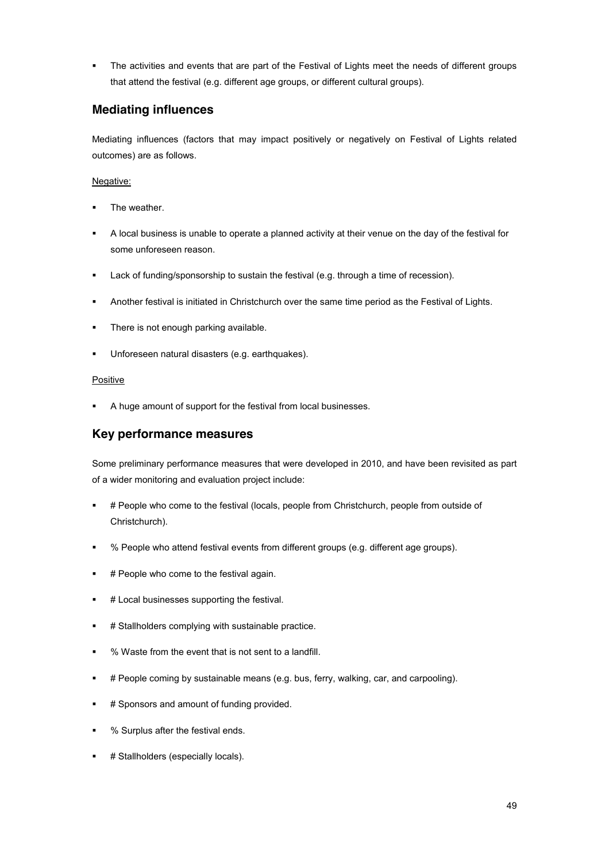! The activities and events that are part of the Festival of Lights meet the needs of different groups that attend the festival (e.g. different age groups, or different cultural groups).

## **Mediating influences**

Mediating influences (factors that may impact positively or negatively on Festival of Lights related outcomes) are as follows.

#### Negative:

- The weather.
- ! A local business is unable to operate a planned activity at their venue on the day of the festival for some unforeseen reason.
- ! Lack of funding/sponsorship to sustain the festival (e.g. through a time of recession).
- ! Another festival is initiated in Christchurch over the same time period as the Festival of Lights.
- **.** There is not enough parking available.
- ! Unforeseen natural disasters (e.g. earthquakes).

#### **Positive**

! A huge amount of support for the festival from local businesses.

## **Key performance measures**

Some preliminary performance measures that were developed in 2010, and have been revisited as part of a wider monitoring and evaluation project include:

- ! # People who come to the festival (locals, people from Christchurch, people from outside of Christchurch).
- ! % People who attend festival events from different groups (e.g. different age groups).
- # People who come to the festival again.
- **#** Local businesses supporting the festival.
- ! # Stallholders complying with sustainable practice.
- ! % Waste from the event that is not sent to a landfill.
- ! # People coming by sustainable means (e.g. bus, ferry, walking, car, and carpooling).
- # Sponsors and amount of funding provided.
- ! % Surplus after the festival ends.
- # Stallholders (especially locals).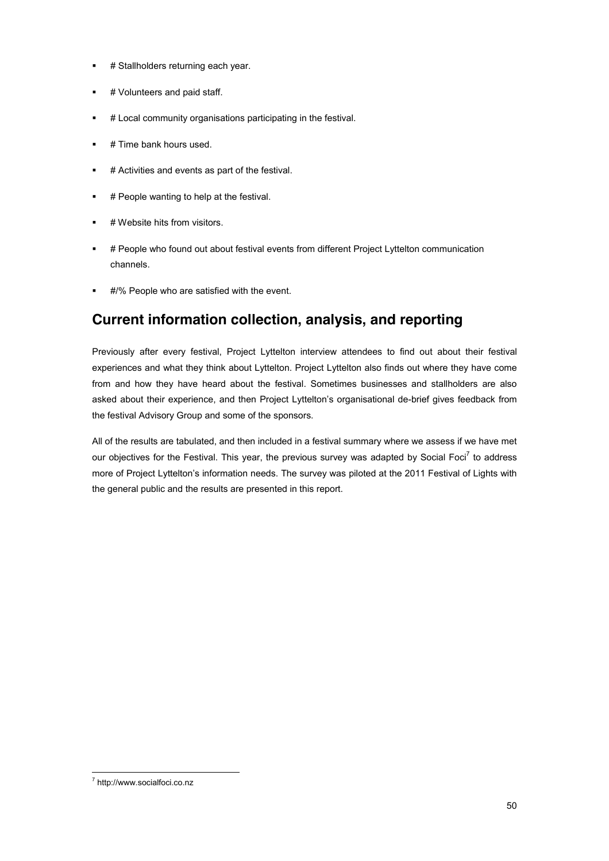- **# Stallholders returning each year.**
- # Volunteers and paid staff.
- ! # Local community organisations participating in the festival.
- $\blacksquare$  # Time bank hours used.
- ! # Activities and events as part of the festival.
- **#** People wanting to help at the festival.
- # Website hits from visitors.
- ! # People who found out about festival events from different Project Lyttelton communication channels.
- #/% People who are satisfied with the event.

## **Current information collection, analysis, and reporting**

Previously after every festival, Project Lyttelton interview attendees to find out about their festival experiences and what they think about Lyttelton. Project Lyttelton also finds out where they have come from and how they have heard about the festival. Sometimes businesses and stallholders are also asked about their experience, and then Project Lyttelton's organisational de-brief gives feedback from the festival Advisory Group and some of the sponsors.

All of the results are tabulated, and then included in a festival summary where we assess if we have met our objectives for the Festival. This year, the previous survey was adapted by Social Foci<sup>7</sup> to address more of Project Lyttelton's information needs. The survey was piloted at the 2011 Festival of Lights with the general public and the results are presented in this report.

 $^7$  http://www.socialfoci.co.nz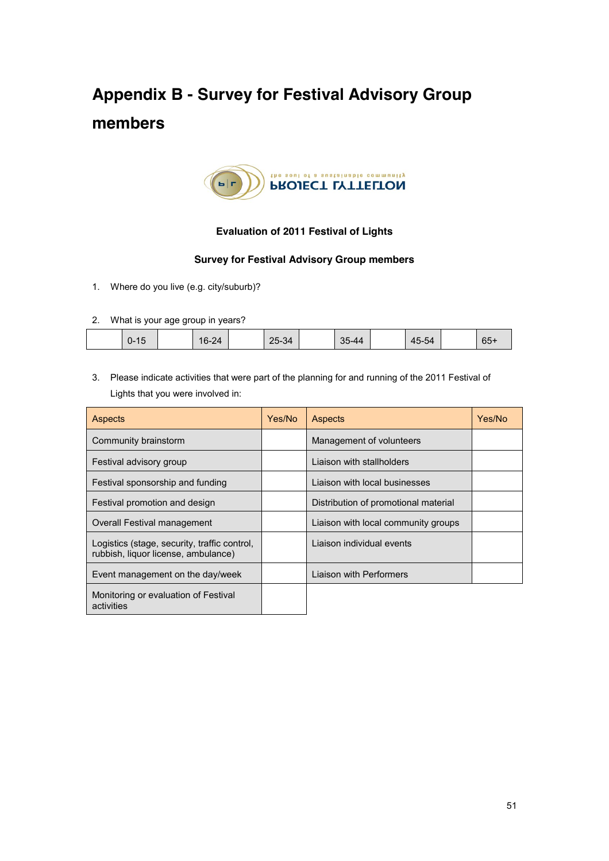# **Appendix B - Survey for Festival Advisory Group members**



### **Evaluation of 2011 Festival of Lights**

#### **Survey for Festival Advisory Group members**

- 1. Where do you live (e.g. city/suburb)?
- 2. What is your age group in years?

| 65<br>25-34<br>つに<br>$\sim$ $\sim$<br>$-44$<br>$16-24$<br>$\mathbf{A}$<br>5-54<br>U-<br>″∪<br>UW<br>-47<br>. . | __ | ____ | _____ |  |  |  |  |
|----------------------------------------------------------------------------------------------------------------|----|------|-------|--|--|--|--|
|                                                                                                                |    |      |       |  |  |  |  |

3. Please indicate activities that were part of the planning for and running of the 2011 Festival of Lights that you were involved in:

| <b>Aspects</b>                                                                      | Yes/No | <b>Aspects</b>                       | Yes/No |
|-------------------------------------------------------------------------------------|--------|--------------------------------------|--------|
| Community brainstorm                                                                |        | Management of volunteers             |        |
| Festival advisory group                                                             |        | Liaison with stallholders            |        |
| Festival sponsorship and funding                                                    |        | Liaison with local businesses        |        |
| Festival promotion and design                                                       |        | Distribution of promotional material |        |
| Overall Festival management                                                         |        | Liaison with local community groups  |        |
| Logistics (stage, security, traffic control,<br>rubbish, liquor license, ambulance) |        | Liaison individual events            |        |
| Event management on the day/week                                                    |        | Liaison with Performers              |        |
| Monitoring or evaluation of Festival<br>activities                                  |        |                                      |        |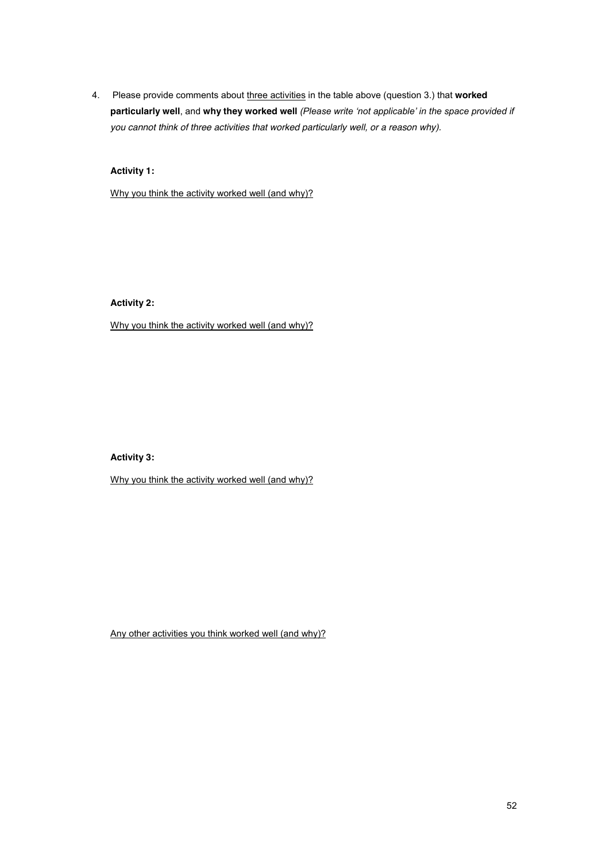4. Please provide comments about three activities in the table above (question 3.) that **worked**  particularly well, and why they worked well (Please write 'not applicable' in the space provided if *you cannot think of three activities that worked particularly well, or a reason why).*

**Activity 1:**

Why you think the activity worked well (and why)?

**Activity 2:**

Why you think the activity worked well (and why)?

**Activity 3:**

Why you think the activity worked well (and why)?

Any other activities you think worked well (and why)?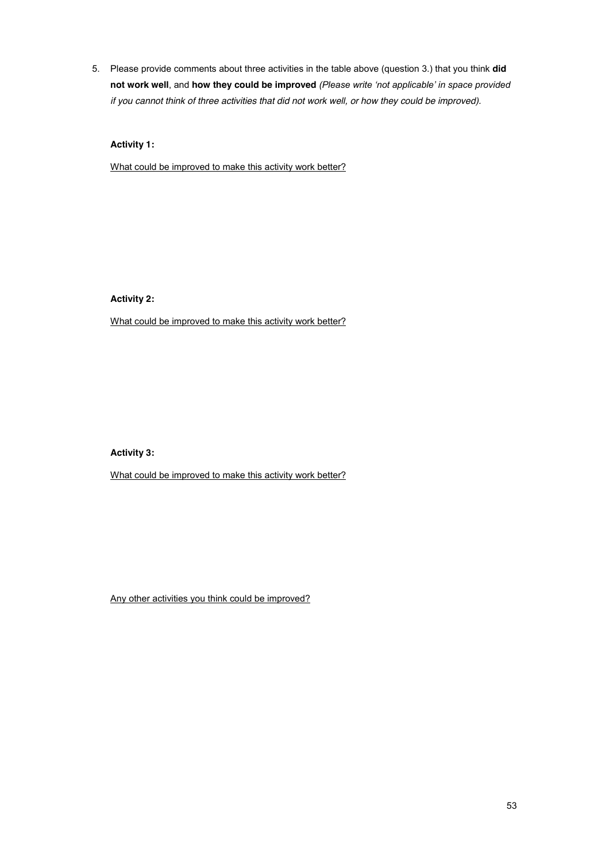5. Please provide comments about three activities in the table above (question 3.) that you think **did not work well**, and **how they could be improved** (Please write 'not applicable' in space provided *if you cannot think of three activities that did not work well, or how they could be improved).*

**Activity 1:**

What could be improved to make this activity work better?

**Activity 2:**

What could be improved to make this activity work better?

**Activity 3:**

What could be improved to make this activity work better?

Any other activities you think could be improved?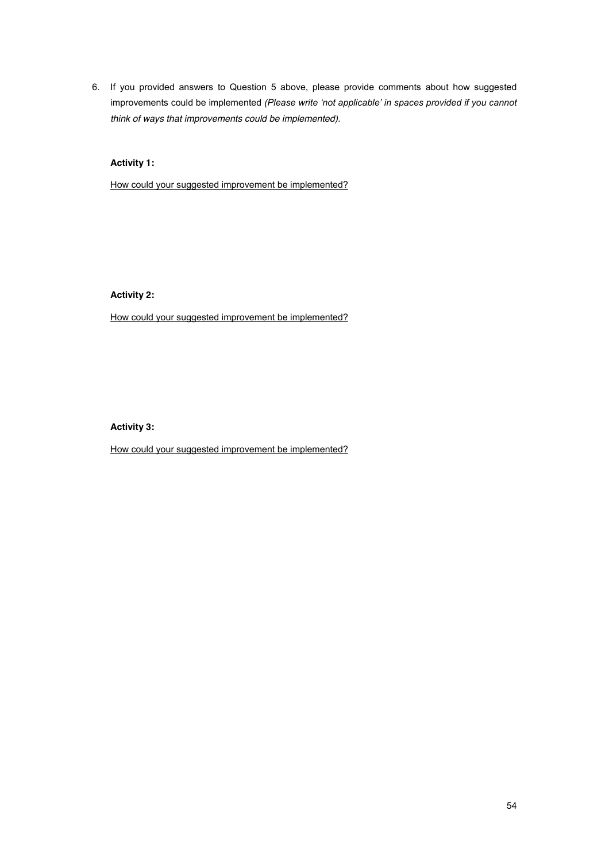6. If you provided answers to Question 5 above, please provide comments about how suggested improvements could be implemented *(Please write 'not applicable' in spaces provided if you cannot think of ways that improvements could be implemented).*

#### **Activity 1:**

How could your suggested improvement be implemented?

**Activity 2:**

How could your suggested improvement be implemented?

#### **Activity 3:**

How could your suggested improvement be implemented?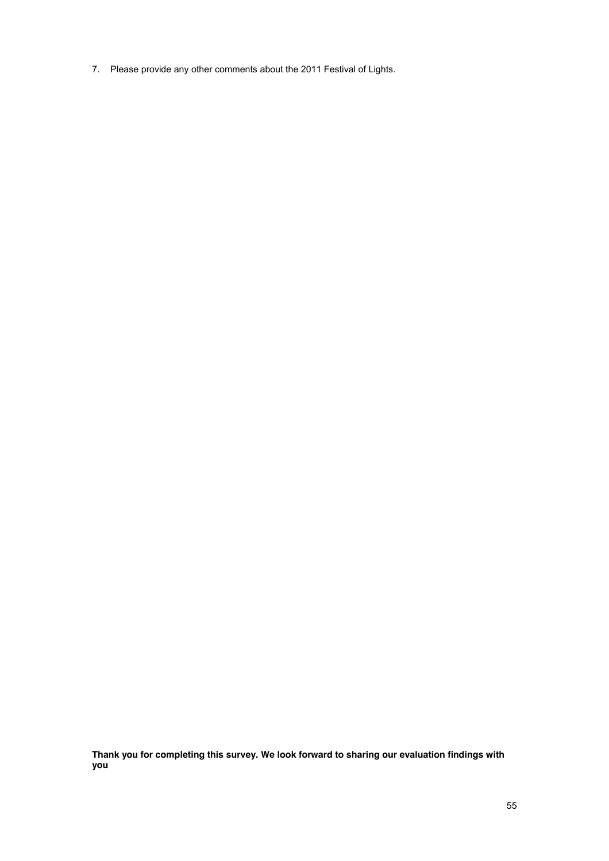7. Please provide any other comments about the 2011 Festival of Lights.

**Thank you for completing this survey. We look forward to sharing our evaluation findings with you**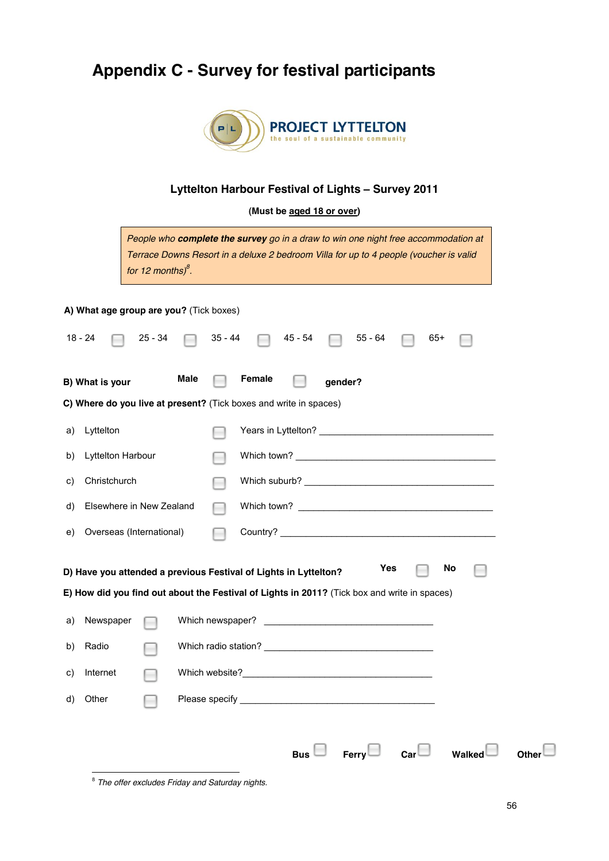# **Appendix C - Survey for festival participants**



## **Lyttelton Harbour Festival of Lights ! Survey 2011**

**(Must be aged 18 or over)**

| People who complete the survey go in a draw to win one night free accommodation at<br>Terrace Downs Resort in a deluxe 2 bedroom Villa for up to 4 people (voucher is valid<br>for 12 months) $\delta$ . |  |  |  |  |  |  |  |
|----------------------------------------------------------------------------------------------------------------------------------------------------------------------------------------------------------|--|--|--|--|--|--|--|
| A) What age group are you? (Tick boxes)                                                                                                                                                                  |  |  |  |  |  |  |  |
| $18 - 24$<br>35 - 44<br>25 - 34<br>45 - 54<br>55 - 64<br>65+                                                                                                                                             |  |  |  |  |  |  |  |
| Male<br>Female<br>B) What is your<br>gender?                                                                                                                                                             |  |  |  |  |  |  |  |
| C) Where do you live at present? (Tick boxes and write in spaces)                                                                                                                                        |  |  |  |  |  |  |  |
| Lyttelton<br>a)                                                                                                                                                                                          |  |  |  |  |  |  |  |
| Lyttelton Harbour<br>b)                                                                                                                                                                                  |  |  |  |  |  |  |  |
| Christchurch<br>C)                                                                                                                                                                                       |  |  |  |  |  |  |  |
| Elsewhere in New Zealand<br>d)                                                                                                                                                                           |  |  |  |  |  |  |  |
| Overseas (International)<br>e)                                                                                                                                                                           |  |  |  |  |  |  |  |
| Yes<br>No<br>D) Have you attended a previous Festival of Lights in Lyttelton?<br>E) How did you find out about the Festival of Lights in 2011? (Tick box and write in spaces)                            |  |  |  |  |  |  |  |
| Which newspaper?<br>Newspaper<br><u> 1989 - Johann Barbara, martin amerikan basal dan basal dan basal dan basal dan basal dan basal dan basal dan</u><br>a)                                              |  |  |  |  |  |  |  |
| Radio<br>b)                                                                                                                                                                                              |  |  |  |  |  |  |  |
| Which website?<br>c) Internet<br>$\sim$                                                                                                                                                                  |  |  |  |  |  |  |  |
| d) Other                                                                                                                                                                                                 |  |  |  |  |  |  |  |
| Bus $\Box$ Ferry $\Box$ Car $\Box$ Walked $\Box$                                                                                                                                                         |  |  |  |  |  |  |  |

<sup>&</sup>lt;sup>8</sup> The offer excludes Friday and Saturday nights.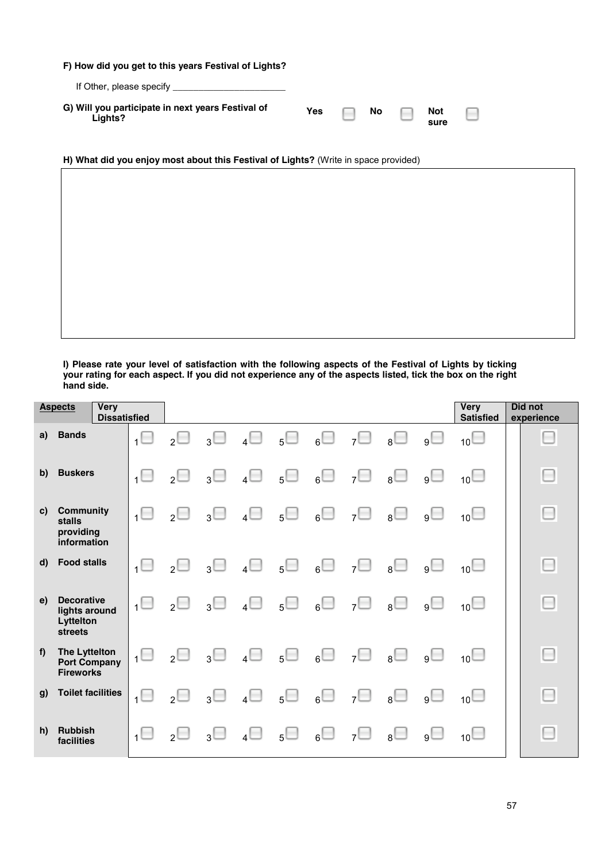**F) How did you get to this years Festival of Lights?** If Other, please specify **\_\_\_\_\_\_\_\_\_\_\_\_\_\_\_\_\_\_\_\_\_\_ G) Will you participate in next years Festival of**  Yes **No Not** n

**sure**

**H) What did you enjoy most about this Festival of Lights?** (Write in space provided)

**Lights?**

**I) Please rate your level of satisfaction with the following aspects of the Festival of Lights by ticking your rating for each aspect. If you did not experience any of the aspects listed, tick the box on the right hand side.** 

|              | <b>Aspects</b>                                             | <b>Very</b><br><b>Dissatisfied</b> |                |                          |                |                |                  |             |                   |                         |          | <b>Very</b><br><b>Satisfied</b> | Did not<br>experience |
|--------------|------------------------------------------------------------|------------------------------------|----------------|--------------------------|----------------|----------------|------------------|-------------|-------------------|-------------------------|----------|---------------------------------|-----------------------|
| a)           | <b>Bands</b>                                               |                                    | $\overline{1}$ | $\overline{2}$           | $3^{\square}$  | $\overline{4}$ | 5 <sup>1</sup>   |             | $_6\Box$ 7 $\Box$ | $_{8}\Box$              | $g \Box$ | $_{10}$                         | O                     |
| b)           | <b>Buskers</b>                                             |                                    | $\overline{1}$ | $\overline{\phantom{0}}$ | $3^{\square}$  | $\overline{4}$ | $5 \Box$         | $_6\Box$    | $7^{\square}$     | $\overline{\square}$    | g        | $_{10}$                         | O                     |
| C)           | <b>Community</b><br>stalls<br>providing<br>information     |                                    |                | $\overline{2}$           | 3              | $\overline{A}$ | 5 <sup>1</sup>   | $_6 \Box$   | $7^{\square}$     | $\overline{\square}$    | $g \Box$ | 10 <sup>1</sup>                 | O                     |
| $\mathsf{d}$ | <b>Food stalls</b>                                         |                                    |                | $\overline{\phantom{a}}$ | $3^{\square}$  | $4\Box$        | $5^{\square}$    | $_6\square$ | 7 <sup>1</sup>    | $\overline{\mathsf{B}}$ | g        | $_{10}$                         | $\Box$                |
| e)           | <b>Decorative</b><br>lights around<br>Lyttelton<br>streets |                                    |                | $\overline{2}$           | 3 <sup>1</sup> | 4              | $5\Box$          | $_6 \Box$   | $7^{\square}$     | $\overline{\mathsf{L}}$ | $g \Box$ | $_{10}$                         | $\Box$                |
| f            | The Lyttelton<br><b>Port Company</b><br><b>Fireworks</b>   |                                    |                | $_{2}\Box$               | $_3\Box$       | 4              | 5 <sup>1</sup>   | $_6$        | $7^{\square}$     | $\overline{\square}$    | $_{9}$   | 10 <sup>1</sup>                 | $\Box$                |
| g)           | <b>Toilet facilities</b>                                   |                                    |                | $\overline{\phantom{a}}$ | $3\Box$        | 4              | $5^{\vert\vert}$ | $_6 \Box$   | 7 <sup>1</sup>    | $\overline{\mathsf{B}}$ | g        | $_{10}$                         | $\Box$                |
| h)           | <b>Rubbish</b><br>facilities                               |                                    |                | $\overline{\phantom{a}}$ | $3^{\square}$  | 4              | $5^{\square}$    | $_6 \Box$   | $7^{\square}$     | $_8 \Box$               | g        | 10                              | $\Box$                |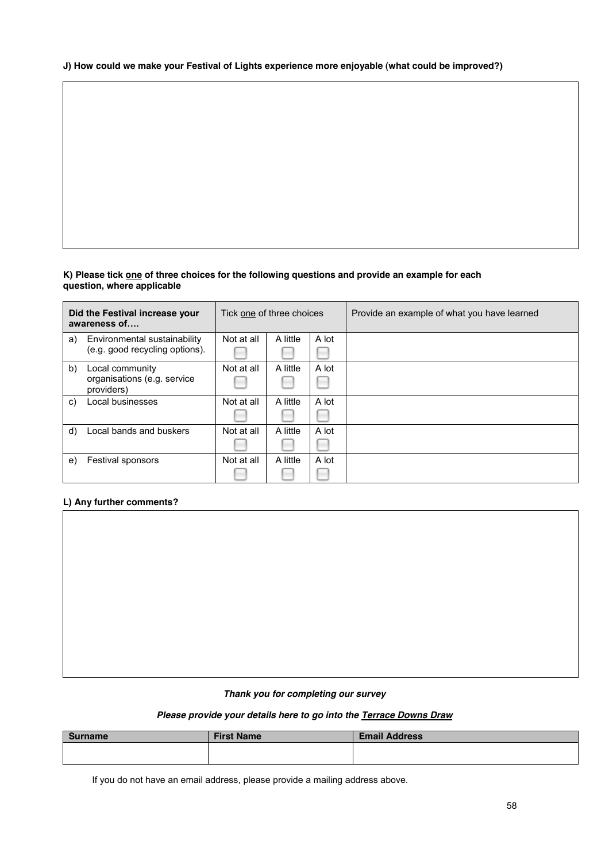#### **J) How could we make your Festival of Lights experience more enjoyable (what could be improved?)**

#### **K) Please tick one of three choices for the following questions and provide an example for each question, where applicable**

|    | Did the Festival increase your<br>awareness of | Tick one of three choices |          |       | Provide an example of what you have learned |
|----|------------------------------------------------|---------------------------|----------|-------|---------------------------------------------|
| a) | Environmental sustainability                   | Not at all                | A little | A lot |                                             |
|    | (e.g. good recycling options).                 |                           |          |       |                                             |
| b) | Local community                                | Not at all                | A little | A lot |                                             |
|    | organisations (e.g. service<br>providers)      |                           |          |       |                                             |
| C) | Local businesses                               | Not at all                | A little | A lot |                                             |
|    |                                                |                           |          |       |                                             |
| d) | Local bands and buskers                        | Not at all                | A little | A lot |                                             |
|    |                                                |                           |          |       |                                             |
| e) | <b>Festival sponsors</b>                       | Not at all                | A little | A lot |                                             |
|    |                                                |                           |          |       |                                             |

#### **L) Any further comments?**

#### *Thank you for completing our survey*

#### *Please provide your details here to go into the Terrace Downs Draw*

| <b>Surname</b> | <b>First Name</b> | <b>Email Address</b> |
|----------------|-------------------|----------------------|
|                |                   |                      |
|                |                   |                      |

If you do not have an email address, please provide a mailing address above.